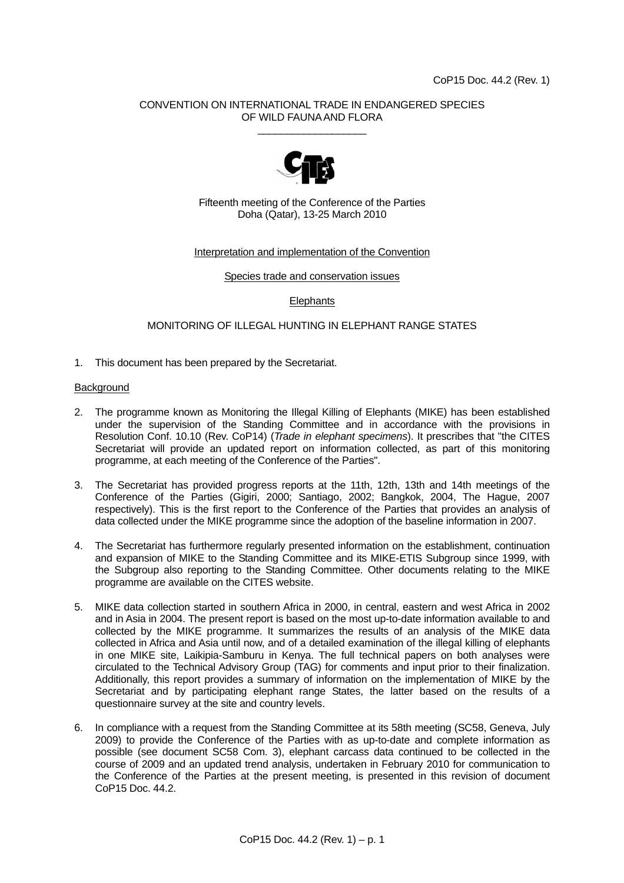# CONVENTION ON INTERNATIONAL TRADE IN ENDANGERED SPECIES OF WILD FAUNA AND FLORA \_\_\_\_\_\_\_\_\_\_\_\_\_\_\_\_\_\_\_



Fifteenth meeting of the Conference of the Parties Doha (Qatar), 13-25 March 2010

#### Interpretation and implementation of the Convention

Species trade and conservation issues

# **Elephants**

# MONITORING OF ILLEGAL HUNTING IN ELEPHANT RANGE STATES

1. This document has been prepared by the Secretariat.

### **Background**

- 2. The programme known as Monitoring the Illegal Killing of Elephants (MIKE) has been established under the supervision of the Standing Committee and in accordance with the provisions in Resolution Conf. 10.10 (Rev. CoP14) (*Tr*a*de in elephant specimens*). It prescribes that "the CITES Secretariat will provide an updated report on information collected, as part of this monitoring programme, at each meeting of the Conference of the Parties".
- 3. The Secretariat has provided progress reports at the 11th, 12th, 13th and 14th meetings of the Conference of the Parties (Gigiri, 2000; Santiago, 2002; Bangkok, 2004, The Hague, 2007 respectively). This is the first report to the Conference of the Parties that provides an analysis of data collected under the MIKE programme since the adoption of the baseline information in 2007.
- 4. The Secretariat has furthermore regularly presented information on the establishment, continuation and expansion of MIKE to the Standing Committee and its MIKE-ETIS Subgroup since 1999, with the Subgroup also reporting to the Standing Committee. Other documents relating to the MIKE programme are available on the CITES website.
- 5. MIKE data collection started in southern Africa in 2000, in central, eastern and west Africa in 2002 and in Asia in 2004. The present report is based on the most up-to-date information available to and collected by the MIKE programme. It summarizes the results of an analysis of the MIKE data collected in Africa and Asia until now, and of a detailed examination of the illegal killing of elephants in one MIKE site, Laikipia-Samburu in Kenya. The full technical papers on both analyses were circulated to the Technical Advisory Group (TAG) for comments and input prior to their finalization. Additionally, this report provides a summary of information on the implementation of MIKE by the Secretariat and by participating elephant range States, the latter based on the results of a questionnaire survey at the site and country levels.
- 6. In compliance with a request from the Standing Committee at its 58th meeting (SC58, Geneva, July 2009) to provide the Conference of the Parties with as up-to-date and complete information as possible (see document SC58 Com. 3), elephant carcass data continued to be collected in the course of 2009 and an updated trend analysis, undertaken in February 2010 for communication to the Conference of the Parties at the present meeting, is presented in this revision of document CoP15 Doc. 44.2.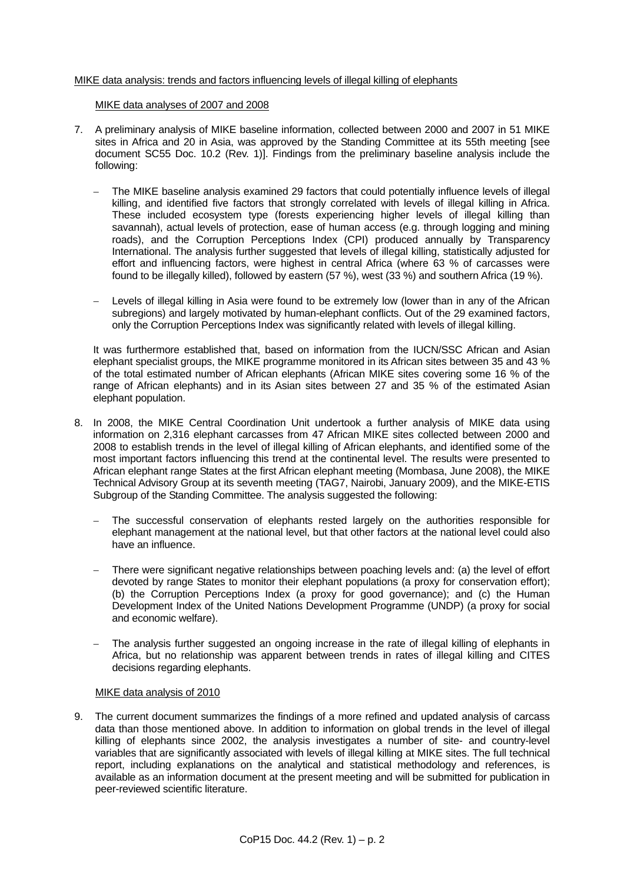## MIKE data analysis: trends and factors influencing levels of illegal killing of elephants

#### MIKE data analyses of 2007 and 2008

- 7. A preliminary analysis of MIKE baseline information, collected between 2000 and 2007 in 51 MIKE sites in Africa and 20 in Asia, was approved by the Standing Committee at its 55th meeting [see document SC55 Doc. 10.2 (Rev. 1)]. Findings from the preliminary baseline analysis include the following:
	- The MIKE baseline analysis examined 29 factors that could potentially influence levels of illegal killing, and identified five factors that strongly correlated with levels of illegal killing in Africa. These included ecosystem type (forests experiencing higher levels of illegal killing than savannah), actual levels of protection, ease of human access (e.g. through logging and mining roads), and the Corruption Perceptions Index (CPI) produced annually by Transparency International. The analysis further suggested that levels of illegal killing, statistically adjusted for effort and influencing factors, were highest in central Africa (where 63 % of carcasses were found to be illegally killed), followed by eastern (57 %), west (33 %) and southern Africa (19 %).
	- Levels of illegal killing in Asia were found to be extremely low (lower than in any of the African subregions) and largely motivated by human-elephant conflicts. Out of the 29 examined factors, only the Corruption Perceptions Index was significantly related with levels of illegal killing.

It was furthermore established that, based on information from the IUCN/SSC African and Asian elephant specialist groups, the MIKE programme monitored in its African sites between 35 and 43 % of the total estimated number of African elephants (African MIKE sites covering some 16 % of the range of African elephants) and in its Asian sites between 27 and 35 % of the estimated Asian elephant population.

- 8. In 2008, the MIKE Central Coordination Unit undertook a further analysis of MIKE data using information on 2,316 elephant carcasses from 47 African MIKE sites collected between 2000 and 2008 to establish trends in the level of illegal killing of African elephants, and identified some of the most important factors influencing this trend at the continental level. The results were presented to African elephant range States at the first African elephant meeting (Mombasa, June 2008), the MIKE Technical Advisory Group at its seventh meeting (TAG7, Nairobi, January 2009), and the MIKE-ETIS Subgroup of the Standing Committee. The analysis suggested the following:
	- The successful conservation of elephants rested largely on the authorities responsible for elephant management at the national level, but that other factors at the national level could also have an influence.
	- There were significant negative relationships between poaching levels and: (a) the level of effort devoted by range States to monitor their elephant populations (a proxy for conservation effort); (b) the Corruption Perceptions Index (a proxy for good governance); and (c) the Human Development Index of the United Nations Development Programme (UNDP) (a proxy for social and economic welfare).
	- The analysis further suggested an ongoing increase in the rate of illegal killing of elephants in Africa, but no relationship was apparent between trends in rates of illegal killing and CITES decisions regarding elephants.

#### MIKE data analysis of 2010

9. The current document summarizes the findings of a more refined and updated analysis of carcass data than those mentioned above. In addition to information on global trends in the level of illegal killing of elephants since 2002, the analysis investigates a number of site- and country-level variables that are significantly associated with levels of illegal killing at MIKE sites. The full technical report, including explanations on the analytical and statistical methodology and references, is available as an information document at the present meeting and will be submitted for publication in peer-reviewed scientific literature.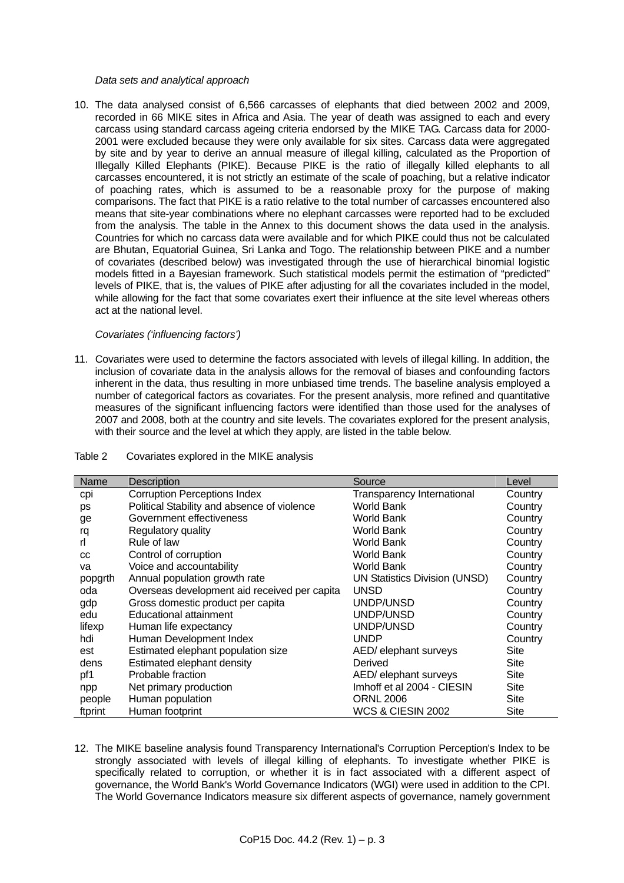#### *Data sets and analytical approach*

10. The data analysed consist of 6,566 carcasses of elephants that died between 2002 and 2009, recorded in 66 MIKE sites in Africa and Asia. The year of death was assigned to each and every carcass using standard carcass ageing criteria endorsed by the MIKE TAG. Carcass data for 2000- 2001 were excluded because they were only available for six sites. Carcass data were aggregated by site and by year to derive an annual measure of illegal killing, calculated as the Proportion of Illegally Killed Elephants (PIKE). Because PIKE is the ratio of illegally killed elephants to all carcasses encountered, it is not strictly an estimate of the scale of poaching, but a relative indicator of poaching rates, which is assumed to be a reasonable proxy for the purpose of making comparisons. The fact that PIKE is a ratio relative to the total number of carcasses encountered also means that site-year combinations where no elephant carcasses were reported had to be excluded from the analysis. The table in the Annex to this document shows the data used in the analysis. Countries for which no carcass data were available and for which PIKE could thus not be calculated are Bhutan, Equatorial Guinea, Sri Lanka and Togo. The relationship between PIKE and a number of covariates (described below) was investigated through the use of hierarchical binomial logistic models fitted in a Bayesian framework. Such statistical models permit the estimation of "predicted" levels of PIKE, that is, the values of PIKE after adjusting for all the covariates included in the model, while allowing for the fact that some covariates exert their influence at the site level whereas others act at the national level.

#### *Covariates ('influencing factors')*

11. Covariates were used to determine the factors associated with levels of illegal killing. In addition, the inclusion of covariate data in the analysis allows for the removal of biases and confounding factors inherent in the data, thus resulting in more unbiased time trends. The baseline analysis employed a number of categorical factors as covariates. For the present analysis, more refined and quantitative measures of the significant influencing factors were identified than those used for the analyses of 2007 and 2008, both at the country and site levels. The covariates explored for the present analysis, with their source and the level at which they apply, are listed in the table below.

# Table 2 Covariates explored in the MIKE analysis

| Name    | <b>Description</b>                           | Source                            | Level       |
|---------|----------------------------------------------|-----------------------------------|-------------|
| cpi     | <b>Corruption Perceptions Index</b>          | <b>Transparency International</b> | Country     |
| ps      | Political Stability and absence of violence  | World Bank                        | Country     |
| ge      | Government effectiveness                     | World Bank                        | Country     |
| rq      | Regulatory quality                           | <b>World Bank</b>                 | Country     |
| rl.     | Rule of law                                  | <b>World Bank</b>                 | Country     |
| CC      | Control of corruption                        | <b>World Bank</b>                 | Country     |
| va      | Voice and accountability                     | <b>World Bank</b>                 | Country     |
| popgrth | Annual population growth rate                | UN Statistics Division (UNSD)     | Country     |
| oda     | Overseas development aid received per capita | <b>UNSD</b>                       | Country     |
| gdp     | Gross domestic product per capita            | UNDP/UNSD                         | Country     |
| edu     | Educational attainment                       | UNDP/UNSD                         | Country     |
| lifexp  | Human life expectancy                        | UNDP/UNSD                         | Country     |
| hdi     | Human Development Index                      | <b>UNDP</b>                       | Country     |
| est     | Estimated elephant population size           | AED/ elephant surveys             | <b>Site</b> |
| dens    | Estimated elephant density                   | Derived                           | Site        |
| pf1     | Probable fraction                            | AED/ elephant surveys             | Site        |
| npp     | Net primary production                       | Imhoff et al 2004 - CIESIN        | Site        |
| people  | Human population                             | <b>ORNL 2006</b>                  | <b>Site</b> |
| ftprint | Human footprint                              | <b>WCS &amp; CIESIN 2002</b>      | Site        |

12. The MIKE baseline analysis found Transparency International's Corruption Perception's Index to be strongly associated with levels of illegal killing of elephants. To investigate whether PIKE is specifically related to corruption, or whether it is in fact associated with a different aspect of governance, the World Bank's World Governance Indicators (WGI) were used in addition to the CPI. The World Governance Indicators measure six different aspects of governance, namely government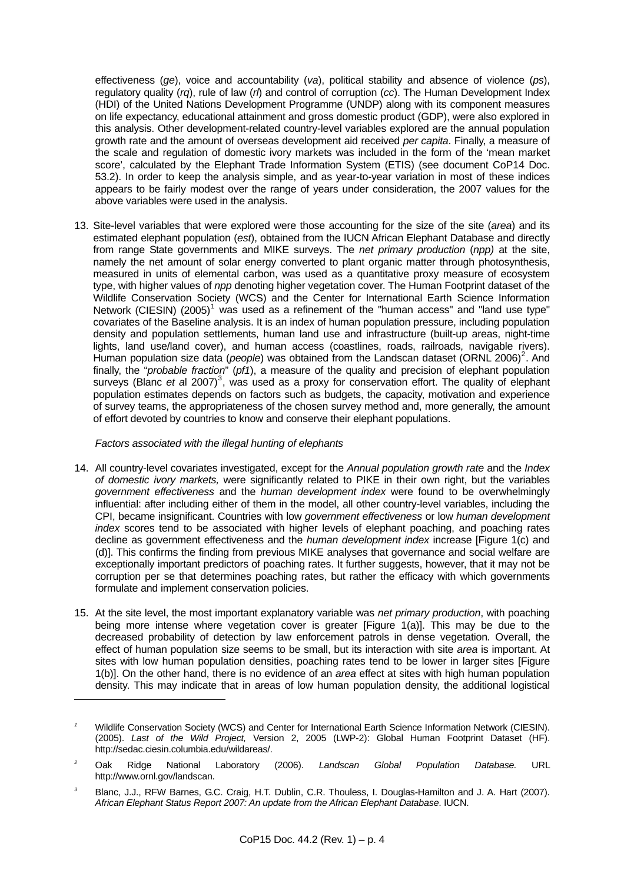effectiveness (*ge*), voice and accountability (*va*), political stability and absence of violence (*ps*), regulatory quality (*rq*), rule of law (*rl*) and control of corruption (*cc*). The Human Development Index (HDI) of the United Nations Development Programme (UNDP) along with its component measures on life expectancy, educational attainment and gross domestic product (GDP), were also explored in this analysis. Other development-related country-level variables explored are the annual population growth rate and the amount of overseas development aid received *per capita*. Finally, a measure of the scale and regulation of domestic ivory markets was included in the form of the 'mean market score', calculated by the Elephant Trade Information System (ETIS) (see document CoP14 Doc. 53.2). In order to keep the analysis simple, and as year-to-year variation in most of these indices appears to be fairly modest over the range of years under consideration, the 2007 values for the above variables were used in the analysis.

13. Site-level variables that were explored were those accounting for the size of the site (*area*) and its estimated elephant population (*est*), obtained from the IUCN African Elephant Database and directly from range State governments and MIKE surveys. The *net primary production* (*npp)* at the site, namely the net amount of solar energy converted to plant organic matter through photosynthesis, measured in units of elemental carbon, was used as a quantitative proxy measure of ecosystem type, with higher values of *npp* denoting higher vegetation cover. The Human Footprint dataset of the Wildlife Conservation Society (WCS) and the Center for International Earth Science Information Network (CIESIN) (2005)<sup>[1](#page-3-0)</sup> was used as a refinement of the "human access" and "land use type" covariates of the Baseline analysis. It is an index of human population pressure, including population density and population settlements, human land use and infrastructure (built-up areas, night-time lights, land use/land cover), and human access (coastlines, roads, railroads, navigable rivers). Human population size data (*people*) was obtained from the Landscan dataset (ORNL [2](#page-3-1)006)<sup>2</sup>. And finally, the "*probable fraction*" (*pf1*), a measure of the quality and precision of elephant population surveys (Blanc *et a*l 2007)<sup>[3](#page-3-2)</sup>, was used as a proxy for conservation effort. The quality of elephant population estimates depends on factors such as budgets, the capacity, motivation and experience of survey teams, the appropriateness of the chosen survey method and, more generally, the amount of effort devoted by countries to know and conserve their elephant populations.

# *Factors associated with the illegal hunting of elephants*

l

- 14. All country-level covariates investigated, except for the *Annual population growth rate* and the *Index of domestic ivory markets,* were significantly related to PIKE in their own right, but the variables *government effectiveness* and the *human development index* were found to be overwhelmingly influential: after including either of them in the model, all other country-level variables, including the CPI, became insignificant. Countries with low *government effectiveness* or low *human development index* scores tend to be associated with higher levels of elephant poaching, and poaching rates decline as government effectiveness and the *human development index* increase [Figure 1(c) and (d)]. This confirms the finding from previous MIKE analyses that governance and social welfare are exceptionally important predictors of poaching rates. It further suggests, however, that it may not be corruption per se that determines poaching rates, but rather the efficacy with which governments formulate and implement conservation policies.
- 15. At the site level, the most important explanatory variable was *net primary production*, with poaching being more intense where vegetation cover is greater [Figure 1(a)]. This may be due to the decreased probability of detection by law enforcement patrols in dense vegetation*.* Overall, the effect of human population size seems to be small, but its interaction with site *area* is important. At sites with low human population densities, poaching rates tend to be lower in larger sites [Figure 1(b)]. On the other hand, there is no evidence of an *area* effect at sites with high human population density. This may indicate that in areas of low human population density, the additional logistical

<span id="page-3-0"></span>*<sup>1</sup>* Wildlife Conservation Society (WCS) and Center for International Earth Science Information Network (CIESIN). (2005). *Last of the Wild Project,* Version 2, 2005 (LWP-2): Global Human Footprint Dataset (HF). http://sedac.ciesin.columbia.edu/wildareas/.

<span id="page-3-1"></span>*<sup>2</sup>* Oak Ridge National Laboratory (2006). *Landscan Global Population Database.* URL http://www.ornl.gov/landscan.

<span id="page-3-2"></span>*<sup>3</sup>* Blanc, J.J., RFW Barnes, G.C. Craig, H.T. Dublin, C.R. Thouless, I. Douglas-Hamilton and J. A. Hart (2007). *African Elephant Status Report 2007: An update from the African Elephant Database*. IUCN.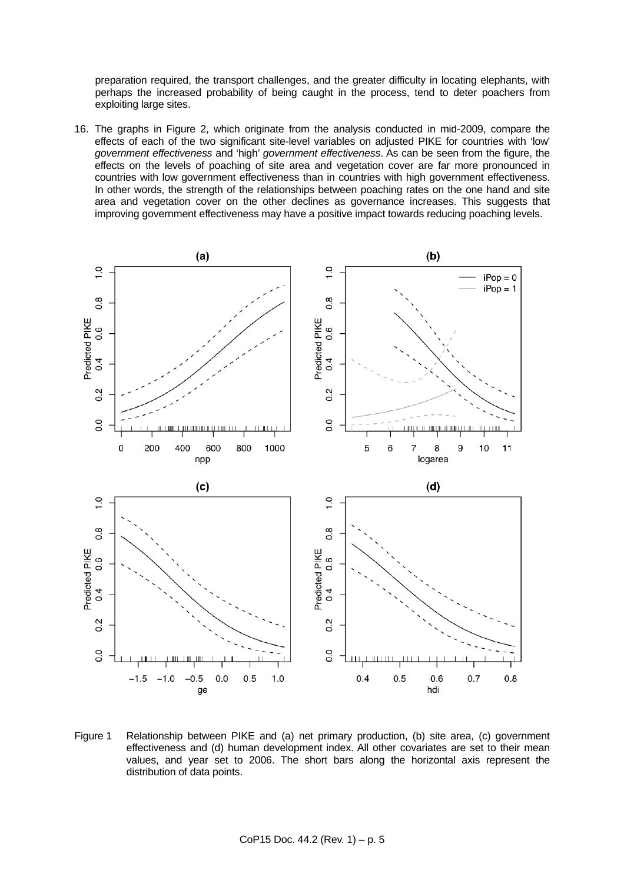preparation required, the transport challenges, and the greater difficulty in locating elephants, with perhaps the increased probability of being caught in the process, tend to deter poachers from exploiting large sites.

16. The graphs in Figure 2, which originate from the analysis conducted in mid-2009, compare the effects of each of the two significant site-level variables on adjusted PIKE for countries with 'low' *government effectiveness* and 'high' *government effectiveness*. As can be seen from the figure, the effects on the levels of poaching of site area and vegetation cover are far more pronounced in countries with low government effectiveness than in countries with high government effectiveness. In other words, the strength of the relationships between poaching rates on the one hand and site area and vegetation cover on the other declines as governance increases. This suggests that improving government effectiveness may have a positive impact towards reducing poaching levels.



Figure 1 Relationship between PIKE and (a) net primary production, (b) site area, (c) government effectiveness and (d) human development index. All other covariates are set to their mean values, and year set to 2006. The short bars along the horizontal axis represent the distribution of data points.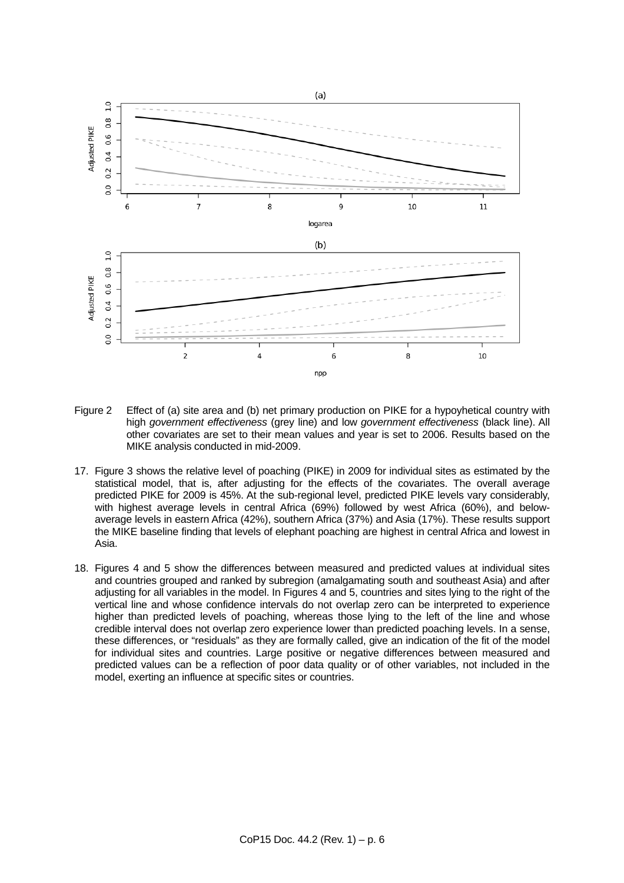

- Figure 2 Effect of (a) site area and (b) net primary production on PIKE for a hypoyhetical country with high *government effectiveness* (grey line) and low *government effectiveness* (black line). All other covariates are set to their mean values and year is set to 2006. Results based on the MIKE analysis conducted in mid-2009.
- 17. Figure 3 shows the relative level of poaching (PIKE) in 2009 for individual sites as estimated by the statistical model, that is, after adjusting for the effects of the covariates. The overall average predicted PIKE for 2009 is 45%. At the sub-regional level, predicted PIKE levels vary considerably, with highest average levels in central Africa (69%) followed by west Africa (60%), and belowaverage levels in eastern Africa (42%), southern Africa (37%) and Asia (17%). These results support the MIKE baseline finding that levels of elephant poaching are highest in central Africa and lowest in Asia.
- 18. Figures 4 and 5 show the differences between measured and predicted values at individual sites and countries grouped and ranked by subregion (amalgamating south and southeast Asia) and after adjusting for all variables in the model. In Figures 4 and 5, countries and sites lying to the right of the vertical line and whose confidence intervals do not overlap zero can be interpreted to experience higher than predicted levels of poaching, whereas those lying to the left of the line and whose credible interval does not overlap zero experience lower than predicted poaching levels. In a sense, these differences, or "residuals" as they are formally called, give an indication of the fit of the model for individual sites and countries. Large positive or negative differences between measured and predicted values can be a reflection of poor data quality or of other variables, not included in the model, exerting an influence at specific sites or countries.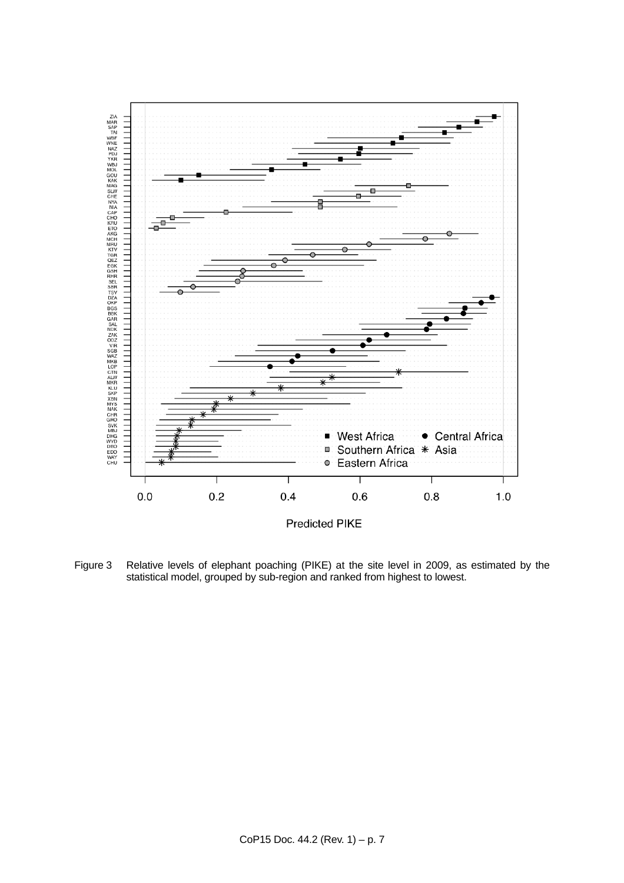

Figure 3 Relative levels of elephant poaching (PIKE) at the site level in 2009, as estimated by the statistical model, grouped by sub-region and ranked from highest to lowest.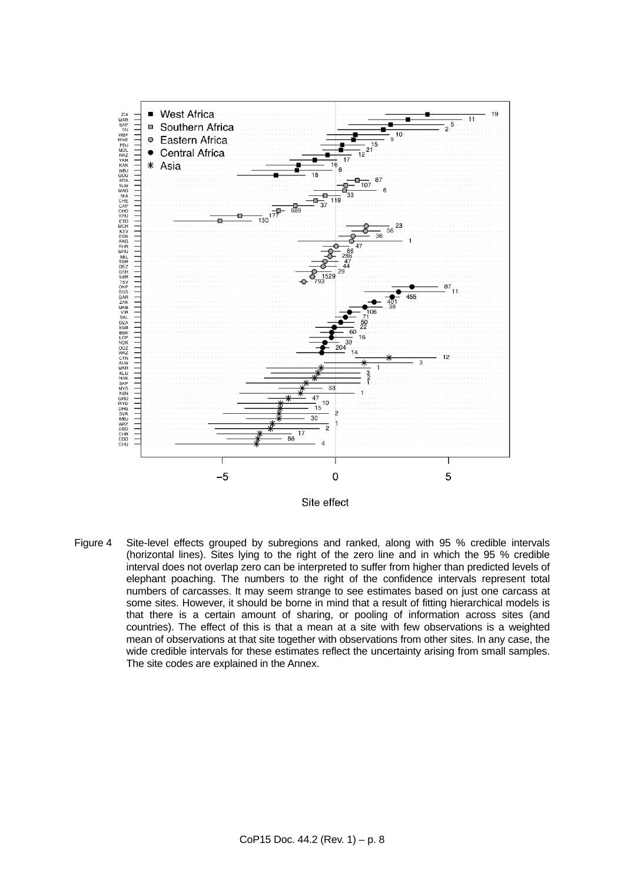

Site effect

Figure 4 Site-level effects grouped by subregions and ranked, along with 95 % credible intervals (horizontal lines). Sites lying to the right of the zero line and in which the 95 % credible interval does not overlap zero can be interpreted to suffer from higher than predicted levels of elephant poaching. The numbers to the right of the confidence intervals represent total numbers of carcasses. It may seem strange to see estimates based on just one carcass at some sites. However, it should be borne in mind that a result of fitting hierarchical models is that there is a certain amount of sharing, or pooling of information across sites (and countries). The effect of this is that a mean at a site with few observations is a weighted mean of observations at that site together with observations from other sites. In any case, the wide credible intervals for these estimates reflect the uncertainty arising from small samples. The site codes are explained in the Annex.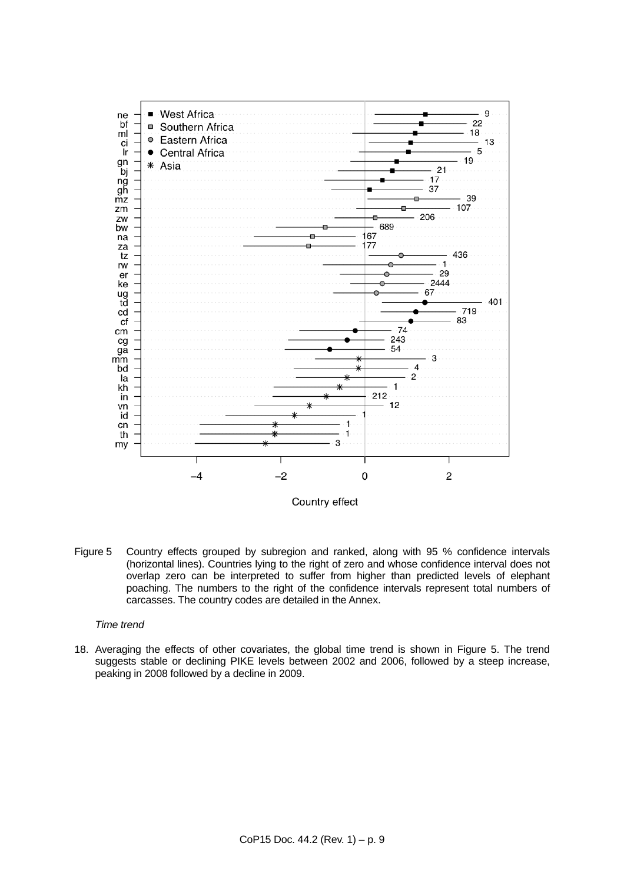

Country effect

Figure 5 Country effects grouped by subregion and ranked, along with 95 % confidence intervals (horizontal lines). Countries lying to the right of zero and whose confidence interval does not overlap zero can be interpreted to suffer from higher than predicted levels of elephant poaching. The numbers to the right of the confidence intervals represent total numbers of carcasses. The country codes are detailed in the Annex.

### *Time trend*

<span id="page-8-0"></span>18. Averaging the effects of other covariates, the global time trend is shown in Figure 5. The trend suggests stable or declining PIKE levels between 2002 and 2006, followed by a steep increase, peaking in 2008 followed by a decline in 2009.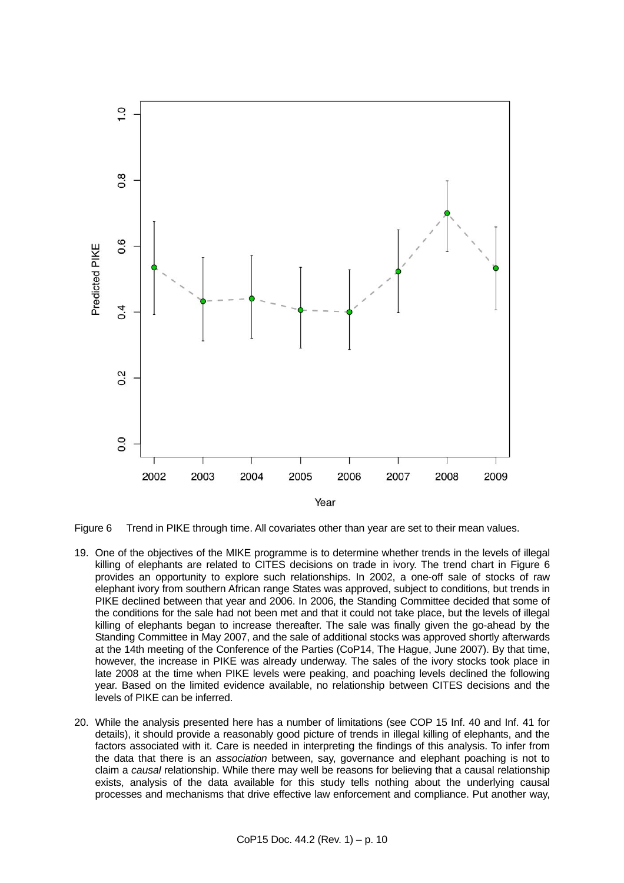



- 19. One of the objectives of the MIKE programme is to determine whether trends in the levels of illegal killing of elephants are related to CITES decisions on trade in ivory. The trend chart in Figure 6 provides an opportunity to explore such relationships. In 2002, a one-off sale of stocks of raw elephant ivory from southern African range States was approved, subject to conditions, but trends in PIKE declined between that year and 2006. In 2006, the Standing Committee decided that some of the conditions for the sale had not been met and that it could not take place, but the levels of illegal killing of elephants began to increase thereafter. The sale was finally given the go-ahead by the Standing Committee in May 2007, and the sale of additional stocks was approved shortly afterwards at the 14th meeting of the Conference of the Parties (CoP14, The Hague, June 2007). By that time, however, the increase in PIKE was already underway. The sales of the ivory stocks took place in late 2008 at the time when PIKE levels were peaking, and poaching levels declined the following year. Based on the limited evidence available, no relationship between CITES decisions and the levels of PIKE can be inferred.
- 20. While the analysis presented here has a number of limitations (see COP 15 Inf. 40 and Inf. 41 for details), it should provide a reasonably good picture of trends in illegal killing of elephants, and the factors associated with it. Care is needed in interpreting the findings of this analysis. To infer from the data that there is an *association* between, say, governance and elephant poaching is not to claim a *causal* relationship. While there may well be reasons for believing that a causal relationship exists, analysis of the data available for this study tells nothing about the underlying causal processes and mechanisms that drive effective law enforcement and compliance. Put another way,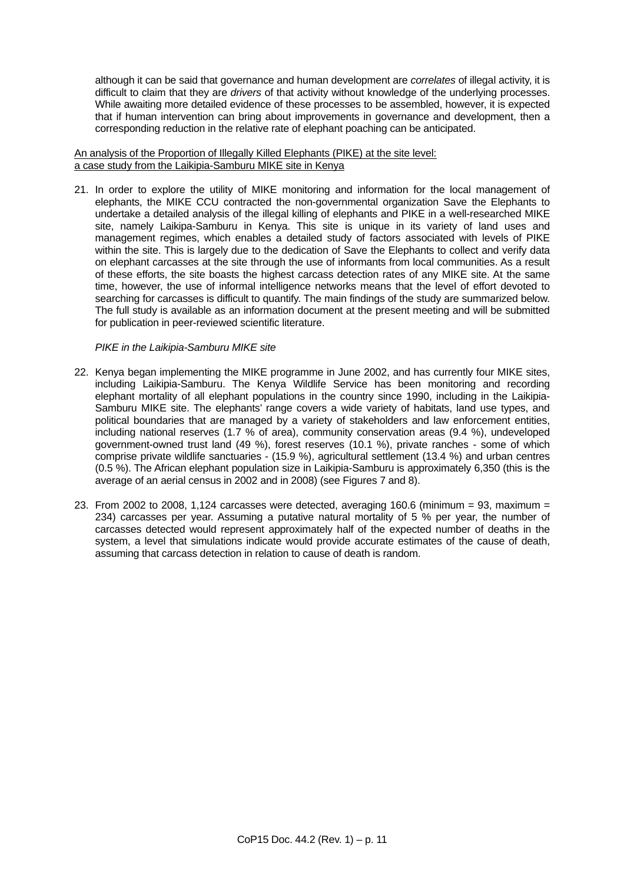although it can be said that governance and human development are *correlates* of illegal activity, it is difficult to claim that they are *drivers* of that activity without knowledge of the underlying processes. While awaiting more detailed evidence of these processes to be assembled, however, it is expected that if human intervention can bring about improvements in governance and development, then a corresponding reduction in the relative rate of elephant poaching can be anticipated.

# An analysis of the Proportion of Illegally Killed Elephants (PIKE) at the site level: a case study from the Laikipia-Samburu MIKE site in Kenya

21. In order to explore the utility of MIKE monitoring and information for the local management of elephants, the MIKE CCU contracted the non-governmental organization Save the Elephants to undertake a detailed analysis of the illegal killing of elephants and PIKE in a well-researched MIKE site, namely Laikipa-Samburu in Kenya. This site is unique in its variety of land uses and management regimes, which enables a detailed study of factors associated with levels of PIKE within the site. This is largely due to the dedication of Save the Elephants to collect and verify data on elephant carcasses at the site through the use of informants from local communities. As a result of these efforts, the site boasts the highest carcass detection rates of any MIKE site. At the same time, however, the use of informal intelligence networks means that the level of effort devoted to searching for carcasses is difficult to quantify. The main findings of the study are summarized below. The full study is available as an information document at the present meeting and will be submitted for publication in peer-reviewed scientific literature.

# *PIKE in the Laikipia-Samburu MIKE site*

- 22. Kenya began implementing the MIKE programme in June 2002, and has currently four MIKE sites, including Laikipia-Samburu. The Kenya Wildlife Service has been monitoring and recording elephant mortality of all elephant populations in the country since 1990, including in the Laikipia-Samburu MIKE site. The elephants' range covers a wide variety of habitats, land use types, and political boundaries that are managed by a variety of stakeholders and law enforcement entities, including national reserves (1.7 % of area), community conservation areas (9.4 %), undeveloped government-owned trust land (49 %), forest reserves (10.1 %), private ranches - some of which comprise private wildlife sanctuaries - (15.9 %), agricultural settlement (13.4 %) and urban centres (0.5 %). The African elephant population size in Laikipia-Samburu is approximately 6,350 (this is the average of an aerial census in 2002 and in 2008) (see Figures 7 and 8).
- 23. From 2002 to 2008, 1,124 carcasses were detected, averaging 160.6 (minimum =  $93$ , maximum = 234) carcasses per year. Assuming a putative natural mortality of 5 % per year, the number of carcasses detected would represent approximately half of the expected number of deaths in the system, a level that simulations indicate would provide accurate estimates of the cause of death, assuming that carcass detection in relation to cause of death is random.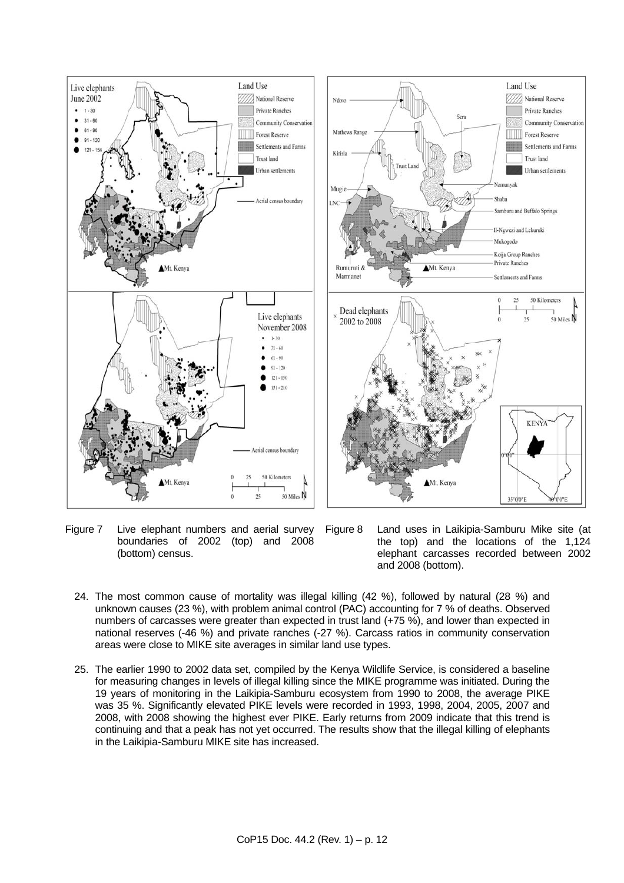

Figure 7 Live elephant numbers and aerial survey boundaries of 2002 (top) and 2008 (bottom) census.

Figure 8 Land uses in Laikipia-Samburu Mike site (at the top) and the locations of the 1,124 elephant carcasses recorded between 2002 and 2008 (bottom).

- 24. The most common cause of mortality was illegal killing (42 %), followed by natural (28 %) and unknown causes (23 %), with problem animal control (PAC) accounting for 7 % of deaths. Observed numbers of carcasses were greater than expected in trust land (+75 %), and lower than expected in national reserves (-46 %) and private ranches (-27 %). Carcass ratios in community conservation areas were close to MIKE site averages in similar land use types.
- 25. The earlier 1990 to 2002 data set, compiled by the Kenya Wildlife Service, is considered a baseline for measuring changes in levels of illegal killing since the MIKE programme was initiated. During the 19 years of monitoring in the Laikipia-Samburu ecosystem from 1990 to 2008, the average PIKE was 35 %. Significantly elevated PIKE levels were recorded in 1993, 1998, 2004, 2005, 2007 and 2008, with 2008 showing the highest ever PIKE. Early returns from 2009 indicate that this trend is continuing and that a peak has not yet occurred. The results show that the illegal killing of elephants in the Laikipia-Samburu MIKE site has increased.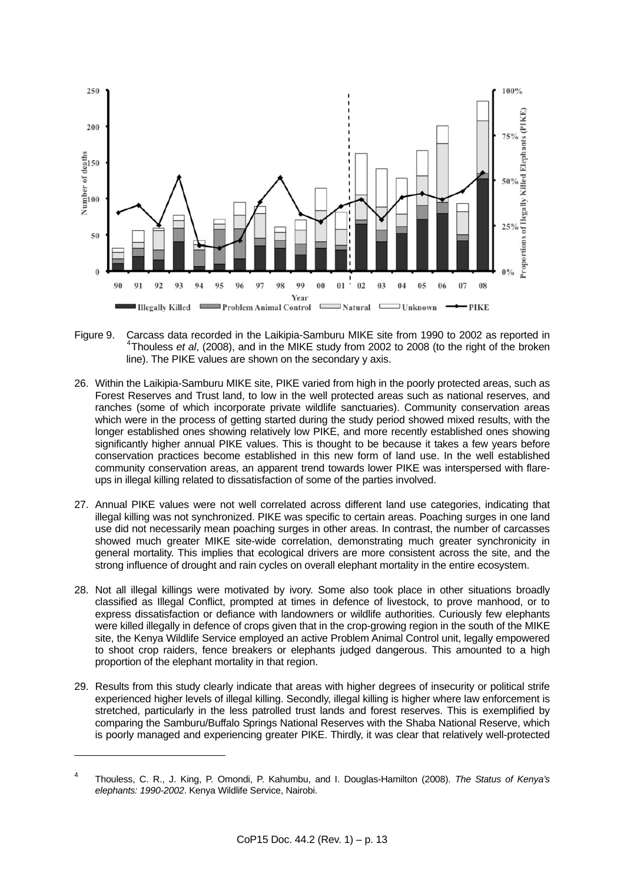

- Figure 9. [C](#page-8-0)arcass data recorded in the Laikipia-Samburu MIKE site from 1990 to 2002 as reported in <sup>[4](#page-8-0)</sup>Thouless *et al*, (2008), and in the MIKE study from 2002 to 2008 (to the right of the broken line). The PIKE values are shown on the secondary y axis.
- 26. Within the Laikipia-Samburu MIKE site, PIKE varied from high in the poorly protected areas, such as Forest Reserves and Trust land, to low in the well protected areas such as national reserves, and ranches (some of which incorporate private wildlife sanctuaries). Community conservation areas which were in the process of getting started during the study period showed mixed results, with the longer established ones showing relatively low PIKE, and more recently established ones showing significantly higher annual PIKE values. This is thought to be because it takes a few years before conservation practices become established in this new form of land use. In the well established community conservation areas, an apparent trend towards lower PIKE was interspersed with flareups in illegal killing related to dissatisfaction of some of the parties involved.
- 27. Annual PIKE values were not well correlated across different land use categories, indicating that illegal killing was not synchronized. PIKE was specific to certain areas. Poaching surges in one land use did not necessarily mean poaching surges in other areas. In contrast, the number of carcasses showed much greater MIKE site-wide correlation, demonstrating much greater synchronicity in general mortality. This implies that ecological drivers are more consistent across the site, and the strong influence of drought and rain cycles on overall elephant mortality in the entire ecosystem.
- 28. Not all illegal killings were motivated by ivory. Some also took place in other situations broadly classified as Illegal Conflict, prompted at times in defence of livestock, to prove manhood, or to express dissatisfaction or defiance with landowners or wildlife authorities. Curiously few elephants were killed illegally in defence of crops given that in the crop-growing region in the south of the MIKE site, the Kenya Wildlife Service employed an active Problem Animal Control unit, legally empowered to shoot crop raiders, fence breakers or elephants judged dangerous. This amounted to a high proportion of the elephant mortality in that region.
- 29. Results from this study clearly indicate that areas with higher degrees of insecurity or political strife experienced higher levels of illegal killing. Secondly, illegal killing is higher where law enforcement is stretched, particularly in the less patrolled trust lands and forest reserves. This is exemplified by comparing the Samburu/Buffalo Springs National Reserves with the Shaba National Reserve, which is poorly managed and experiencing greater PIKE. Thirdly, it was clear that relatively well-protected

l

<sup>4</sup> Thouless, C. R., J. King, P. Omondi, P. Kahumbu, and I. Douglas-Hamilton (2008). *The Status of Kenya's elephants: 1990-2002*. Kenya Wildlife Service, Nairobi.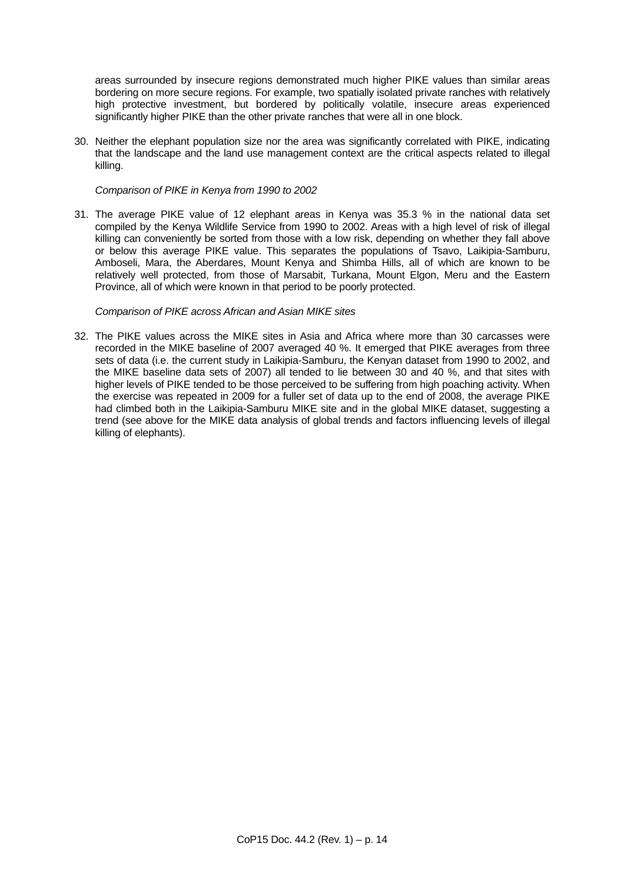areas surrounded by insecure regions demonstrated much higher PIKE values than similar areas bordering on more secure regions. For example, two spatially isolated private ranches with relatively high protective investment, but bordered by politically volatile, insecure areas experienced significantly higher PIKE than the other private ranches that were all in one block.

30. Neither the elephant population size nor the area was significantly correlated with PIKE, indicating that the landscape and the land use management context are the critical aspects related to illegal killing.

#### *Comparison of PIKE in Kenya from 1990 to 2002*

31. The average PIKE value of 12 elephant areas in Kenya was 35.3 % in the national data set compiled by the Kenya Wildlife Service from 1990 to 2002. Areas with a high level of risk of illegal killing can conveniently be sorted from those with a low risk, depending on whether they fall above or below this average PIKE value. This separates the populations of Tsavo, Laikipia-Samburu, Amboseli, Mara, the Aberdares, Mount Kenya and Shimba Hills, all of which are known to be relatively well protected, from those of Marsabit, Turkana, Mount Elgon, Meru and the Eastern Province, all of which were known in that period to be poorly protected.

#### *Comparison of PIKE across African and Asian MIKE sites*

32. The PIKE values across the MIKE sites in Asia and Africa where more than 30 carcasses were recorded in the MIKE baseline of 2007 averaged 40 %. It emerged that PIKE averages from three sets of data (i.e. the current study in Laikipia-Samburu, the Kenyan dataset from 1990 to 2002, and the MIKE baseline data sets of 2007) all tended to lie between 30 and 40 %, and that sites with higher levels of PIKE tended to be those perceived to be suffering from high poaching activity. When the exercise was repeated in 2009 for a fuller set of data up to the end of 2008, the average PIKE had climbed both in the Laikipia-Samburu MIKE site and in the global MIKE dataset, suggesting a trend (see above for the MIKE data analysis of global trends and factors influencing levels of illegal killing of elephants).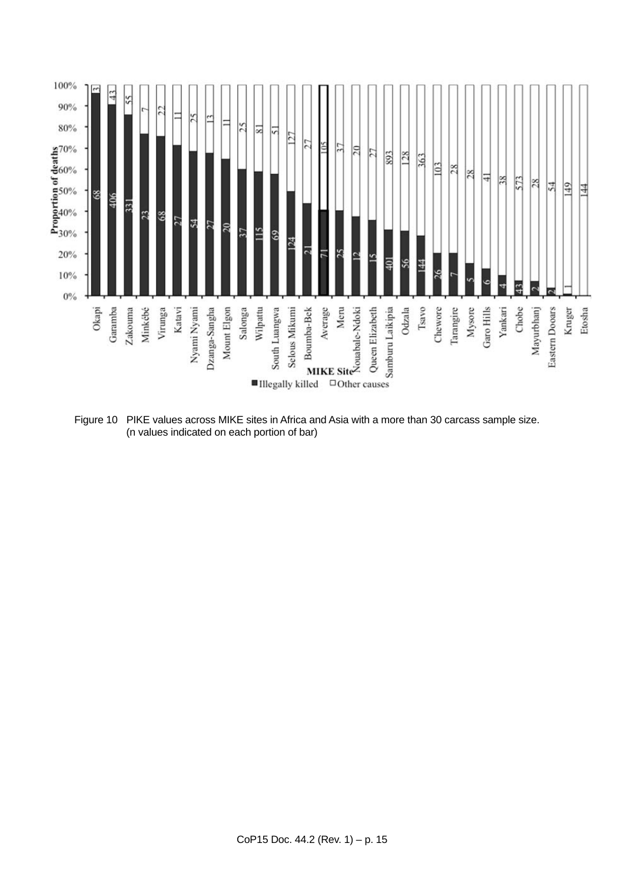

Figure 10 PIKE values across MIKE sites in Africa and Asia with a more than 30 carcass sample size. (n values indicated on each portion of bar)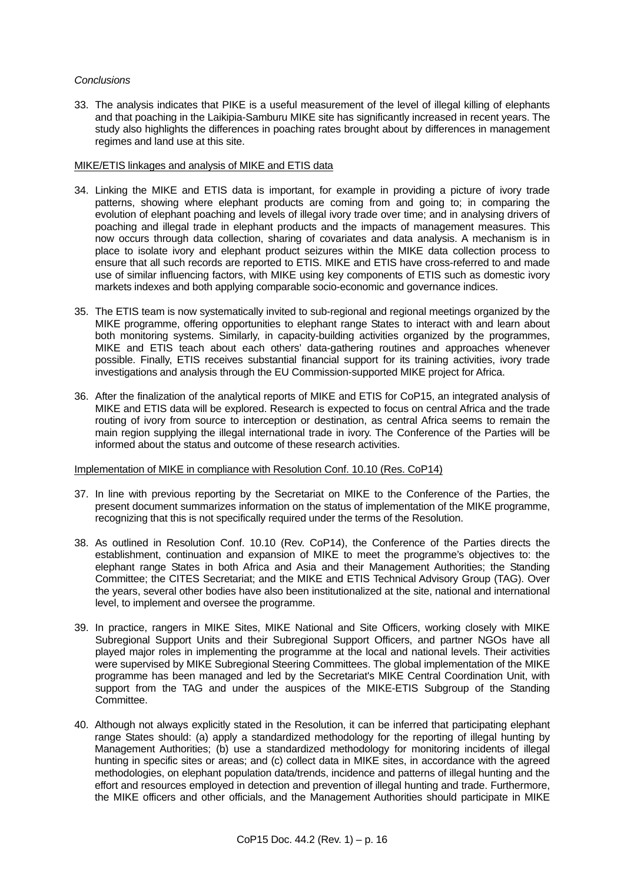#### *Conclusions*

33. The analysis indicates that PIKE is a useful measurement of the level of illegal killing of elephants and that poaching in the Laikipia-Samburu MIKE site has significantly increased in recent years. The study also highlights the differences in poaching rates brought about by differences in management regimes and land use at this site.

# MIKE/ETIS linkages and analysis of MIKE and ETIS data

- 34. Linking the MIKE and ETIS data is important, for example in providing a picture of ivory trade patterns, showing where elephant products are coming from and going to; in comparing the evolution of elephant poaching and levels of illegal ivory trade over time; and in analysing drivers of poaching and illegal trade in elephant products and the impacts of management measures. This now occurs through data collection, sharing of covariates and data analysis. A mechanism is in place to isolate ivory and elephant product seizures within the MIKE data collection process to ensure that all such records are reported to ETIS. MIKE and ETIS have cross-referred to and made use of similar influencing factors, with MIKE using key components of ETIS such as domestic ivory markets indexes and both applying comparable socio-economic and governance indices.
- 35. The ETIS team is now systematically invited to sub-regional and regional meetings organized by the MIKE programme, offering opportunities to elephant range States to interact with and learn about both monitoring systems. Similarly, in capacity-building activities organized by the programmes, MIKE and ETIS teach about each others' data-gathering routines and approaches whenever possible. Finally, ETIS receives substantial financial support for its training activities, ivory trade investigations and analysis through the EU Commission-supported MIKE project for Africa.
- 36. After the finalization of the analytical reports of MIKE and ETIS for CoP15, an integrated analysis of MIKE and ETIS data will be explored. Research is expected to focus on central Africa and the trade routing of ivory from source to interception or destination, as central Africa seems to remain the main region supplying the illegal international trade in ivory. The Conference of the Parties will be informed about the status and outcome of these research activities.

#### Implementation of MIKE in compliance with Resolution Conf. 10.10 (Res. CoP14)

- 37. In line with previous reporting by the Secretariat on MIKE to the Conference of the Parties, the present document summarizes information on the status of implementation of the MIKE programme, recognizing that this is not specifically required under the terms of the Resolution.
- 38. As outlined in Resolution Conf. 10.10 (Rev. CoP14), the Conference of the Parties directs the establishment, continuation and expansion of MIKE to meet the programme's objectives to: the elephant range States in both Africa and Asia and their Management Authorities; the Standing Committee; the CITES Secretariat; and the MIKE and ETIS Technical Advisory Group (TAG). Over the years, several other bodies have also been institutionalized at the site, national and international level, to implement and oversee the programme.
- 39. In practice, rangers in MIKE Sites, MIKE National and Site Officers, working closely with MIKE Subregional Support Units and their Subregional Support Officers, and partner NGOs have all played major roles in implementing the programme at the local and national levels. Their activities were supervised by MIKE Subregional Steering Committees. The global implementation of the MIKE programme has been managed and led by the Secretariat's MIKE Central Coordination Unit, with support from the TAG and under the auspices of the MIKE-ETIS Subgroup of the Standing Committee.
- 40. Although not always explicitly stated in the Resolution, it can be inferred that participating elephant range States should: (a) apply a standardized methodology for the reporting of illegal hunting by Management Authorities; (b) use a standardized methodology for monitoring incidents of illegal hunting in specific sites or areas; and (c) collect data in MIKE sites, in accordance with the agreed methodologies, on elephant population data/trends, incidence and patterns of illegal hunting and the effort and resources employed in detection and prevention of illegal hunting and trade. Furthermore, the MIKE officers and other officials, and the Management Authorities should participate in MIKE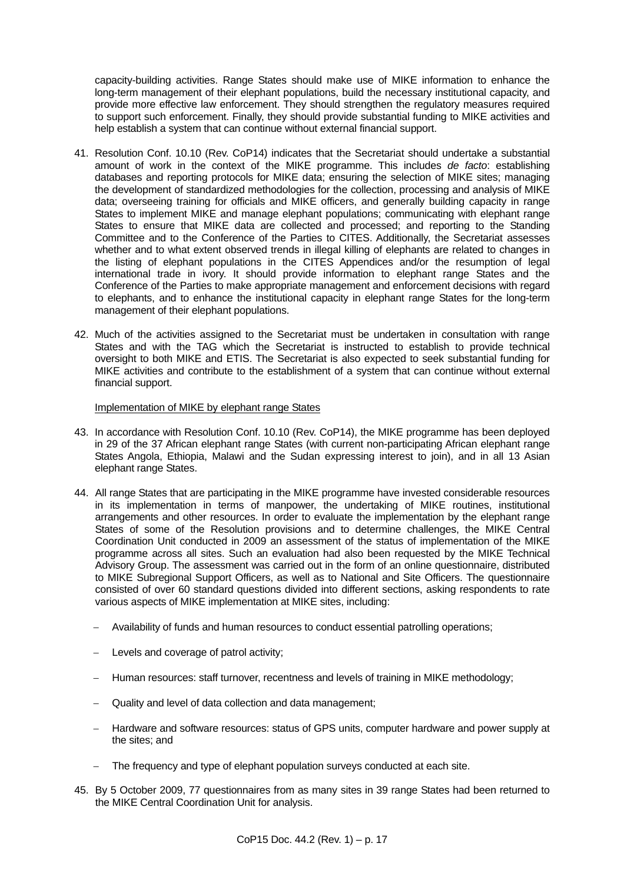capacity-building activities. Range States should make use of MIKE information to enhance the long-term management of their elephant populations, build the necessary institutional capacity, and provide more effective law enforcement. They should strengthen the regulatory measures required to support such enforcement. Finally, they should provide substantial funding to MIKE activities and help establish a system that can continue without external financial support.

- 41. Resolution Conf. 10.10 (Rev. CoP14) indicates that the Secretariat should undertake a substantial amount of work in the context of the MIKE programme. This includes *de facto*: establishing databases and reporting protocols for MIKE data; ensuring the selection of MIKE sites; managing the development of standardized methodologies for the collection, processing and analysis of MIKE data; overseeing training for officials and MIKE officers, and generally building capacity in range States to implement MIKE and manage elephant populations; communicating with elephant range States to ensure that MIKE data are collected and processed; and reporting to the Standing Committee and to the Conference of the Parties to CITES. Additionally, the Secretariat assesses whether and to what extent observed trends in illegal killing of elephants are related to changes in the listing of elephant populations in the CITES Appendices and/or the resumption of legal international trade in ivory. It should provide information to elephant range States and the Conference of the Parties to make appropriate management and enforcement decisions with regard to elephants, and to enhance the institutional capacity in elephant range States for the long-term management of their elephant populations.
- 42. Much of the activities assigned to the Secretariat must be undertaken in consultation with range States and with the TAG which the Secretariat is instructed to establish to provide technical oversight to both MIKE and ETIS. The Secretariat is also expected to seek substantial funding for MIKE activities and contribute to the establishment of a system that can continue without external financial support.

### Implementation of MIKE by elephant range States

- 43. In accordance with Resolution Conf. 10.10 (Rev. CoP14), the MIKE programme has been deployed in 29 of the 37 African elephant range States (with current non-participating African elephant range States Angola, Ethiopia, Malawi and the Sudan expressing interest to join), and in all 13 Asian elephant range States.
- 44. All range States that are participating in the MIKE programme have invested considerable resources in its implementation in terms of manpower, the undertaking of MIKE routines, institutional arrangements and other resources. In order to evaluate the implementation by the elephant range States of some of the Resolution provisions and to determine challenges, the MIKE Central Coordination Unit conducted in 2009 an assessment of the status of implementation of the MIKE programme across all sites. Such an evaluation had also been requested by the MIKE Technical Advisory Group. The assessment was carried out in the form of an online questionnaire, distributed to MIKE Subregional Support Officers, as well as to National and Site Officers. The questionnaire consisted of over 60 standard questions divided into different sections, asking respondents to rate various aspects of MIKE implementation at MIKE sites, including:
	- Availability of funds and human resources to conduct essential patrolling operations;
	- Levels and coverage of patrol activity;
	- Human resources: staff turnover, recentness and levels of training in MIKE methodology;
	- Quality and level of data collection and data management;
	- Hardware and software resources: status of GPS units, computer hardware and power supply at the sites; and
	- The frequency and type of elephant population surveys conducted at each site.
- 45. By 5 October 2009, 77 questionnaires from as many sites in 39 range States had been returned to the MIKE Central Coordination Unit for analysis.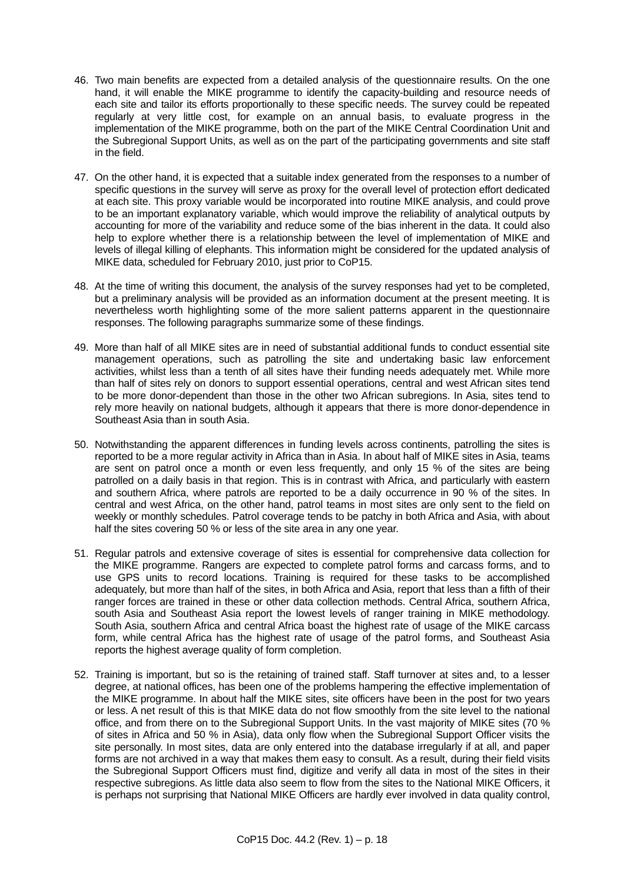- 46. Two main benefits are expected from a detailed analysis of the questionnaire results. On the one hand, it will enable the MIKE programme to identify the capacity-building and resource needs of each site and tailor its efforts proportionally to these specific needs. The survey could be repeated regularly at very little cost, for example on an annual basis, to evaluate progress in the implementation of the MIKE programme, both on the part of the MIKE Central Coordination Unit and the Subregional Support Units, as well as on the part of the participating governments and site staff in the field.
- 47. On the other hand, it is expected that a suitable index generated from the responses to a number of specific questions in the survey will serve as proxy for the overall level of protection effort dedicated at each site. This proxy variable would be incorporated into routine MIKE analysis, and could prove to be an important explanatory variable, which would improve the reliability of analytical outputs by accounting for more of the variability and reduce some of the bias inherent in the data. It could also help to explore whether there is a relationship between the level of implementation of MIKE and levels of illegal killing of elephants. This information might be considered for the updated analysis of MIKE data, scheduled for February 2010, just prior to CoP15.
- 48. At the time of writing this document, the analysis of the survey responses had yet to be completed, but a preliminary analysis will be provided as an information document at the present meeting. It is nevertheless worth highlighting some of the more salient patterns apparent in the questionnaire responses. The following paragraphs summarize some of these findings.
- 49. More than half of all MIKE sites are in need of substantial additional funds to conduct essential site management operations, such as patrolling the site and undertaking basic law enforcement activities, whilst less than a tenth of all sites have their funding needs adequately met. While more than half of sites rely on donors to support essential operations, central and west African sites tend to be more donor-dependent than those in the other two African subregions. In Asia, sites tend to rely more heavily on national budgets, although it appears that there is more donor-dependence in Southeast Asia than in south Asia.
- 50. Notwithstanding the apparent differences in funding levels across continents, patrolling the sites is reported to be a more regular activity in Africa than in Asia. In about half of MIKE sites in Asia, teams are sent on patrol once a month or even less frequently, and only 15 % of the sites are being patrolled on a daily basis in that region. This is in contrast with Africa, and particularly with eastern and southern Africa, where patrols are reported to be a daily occurrence in 90 % of the sites. In central and west Africa, on the other hand, patrol teams in most sites are only sent to the field on weekly or monthly schedules. Patrol coverage tends to be patchy in both Africa and Asia, with about half the sites covering 50 % or less of the site area in any one year.
- 51. Regular patrols and extensive coverage of sites is essential for comprehensive data collection for the MIKE programme. Rangers are expected to complete patrol forms and carcass forms, and to use GPS units to record locations. Training is required for these tasks to be accomplished adequately, but more than half of the sites, in both Africa and Asia, report that less than a fifth of their ranger forces are trained in these or other data collection methods. Central Africa, southern Africa, south Asia and Southeast Asia report the lowest levels of ranger training in MIKE methodology. South Asia, southern Africa and central Africa boast the highest rate of usage of the MIKE carcass form, while central Africa has the highest rate of usage of the patrol forms, and Southeast Asia reports the highest average quality of form completion.
- 52. Training is important, but so is the retaining of trained staff. Staff turnover at sites and, to a lesser degree, at national offices, has been one of the problems hampering the effective implementation of the MIKE programme. In about half the MIKE sites, site officers have been in the post for two years or less. A net result of this is that MIKE data do not flow smoothly from the site level to the national office, and from there on to the Subregional Support Units. In the vast majority of MIKE sites (70 % of sites in Africa and 50 % in Asia), data only flow when the Subregional Support Officer visits the site personally. In most sites, data are only entered into the database irregularly if at all, and paper forms are not archived in a way that makes them easy to consult. As a result, during their field visits the Subregional Support Officers must find, digitize and verify all data in most of the sites in their respective subregions. As little data also seem to flow from the sites to the National MIKE Officers, it is perhaps not surprising that National MIKE Officers are hardly ever involved in data quality control,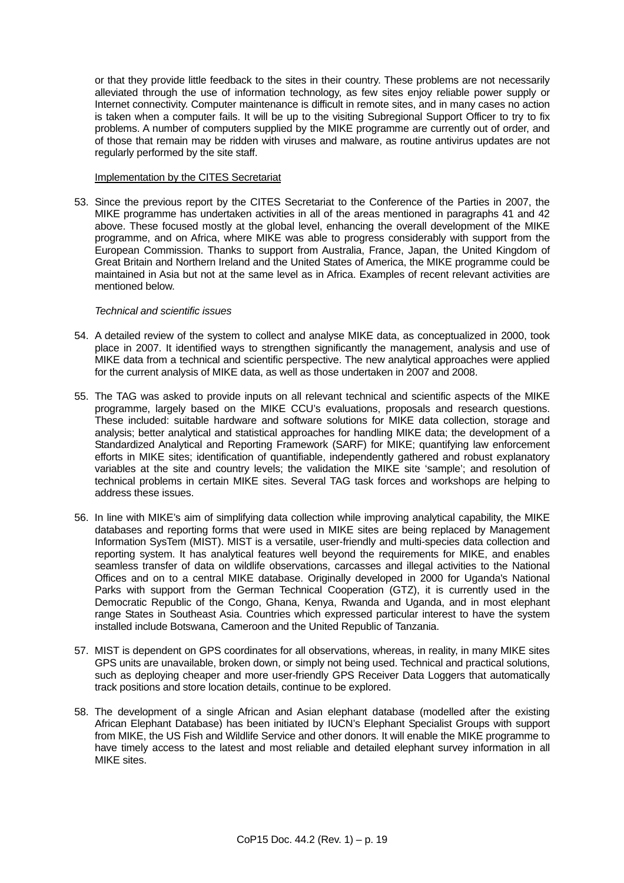or that they provide little feedback to the sites in their country. These problems are not necessarily alleviated through the use of information technology, as few sites enjoy reliable power supply or Internet connectivity. Computer maintenance is difficult in remote sites, and in many cases no action is taken when a computer fails. It will be up to the visiting Subregional Support Officer to try to fix problems. A number of computers supplied by the MIKE programme are currently out of order, and of those that remain may be ridden with viruses and malware, as routine antivirus updates are not regularly performed by the site staff.

#### Implementation by the CITES Secretariat

53. Since the previous report by the CITES Secretariat to the Conference of the Parties in 2007, the MIKE programme has undertaken activities in all of the areas mentioned in paragraphs 41 and 42 above. These focused mostly at the global level, enhancing the overall development of the MIKE programme, and on Africa, where MIKE was able to progress considerably with support from the European Commission. Thanks to support from Australia, France, Japan, the United Kingdom of Great Britain and Northern Ireland and the United States of America, the MIKE programme could be maintained in Asia but not at the same level as in Africa. Examples of recent relevant activities are mentioned below.

#### *Technical and scientific issues*

- 54. A detailed review of the system to collect and analyse MIKE data, as conceptualized in 2000, took place in 2007. It identified ways to strengthen significantly the management, analysis and use of MIKE data from a technical and scientific perspective. The new analytical approaches were applied for the current analysis of MIKE data, as well as those undertaken in 2007 and 2008.
- 55. The TAG was asked to provide inputs on all relevant technical and scientific aspects of the MIKE programme, largely based on the MIKE CCU's evaluations, proposals and research questions. These included: suitable hardware and software solutions for MIKE data collection, storage and analysis; better analytical and statistical approaches for handling MIKE data; the development of a Standardized Analytical and Reporting Framework (SARF) for MIKE; quantifying law enforcement efforts in MIKE sites; identification of quantifiable, independently gathered and robust explanatory variables at the site and country levels; the validation the MIKE site 'sample'; and resolution of technical problems in certain MIKE sites. Several TAG task forces and workshops are helping to address these issues.
- 56. In line with MIKE's aim of simplifying data collection while improving analytical capability, the MIKE databases and reporting forms that were used in MIKE sites are being replaced by Management Information SysTem (MIST). MIST is a versatile, user-friendly and multi-species data collection and reporting system. It has analytical features well beyond the requirements for MIKE, and enables seamless transfer of data on wildlife observations, carcasses and illegal activities to the National Offices and on to a central MIKE database. Originally developed in 2000 for Uganda's National Parks with support from the German Technical Cooperation (GTZ), it is currently used in the Democratic Republic of the Congo, Ghana, Kenya, Rwanda and Uganda, and in most elephant range States in Southeast Asia. Countries which expressed particular interest to have the system installed include Botswana, Cameroon and the United Republic of Tanzania.
- 57. MIST is dependent on GPS coordinates for all observations, whereas, in reality, in many MIKE sites GPS units are unavailable, broken down, or simply not being used. Technical and practical solutions, such as deploying cheaper and more user-friendly GPS Receiver Data Loggers that automatically track positions and store location details, continue to be explored.
- 58. The development of a single African and Asian elephant database (modelled after the existing African Elephant Database) has been initiated by IUCN's Elephant Specialist Groups with support from MIKE, the US Fish and Wildlife Service and other donors. It will enable the MIKE programme to have timely access to the latest and most reliable and detailed elephant survey information in all MIKE sites.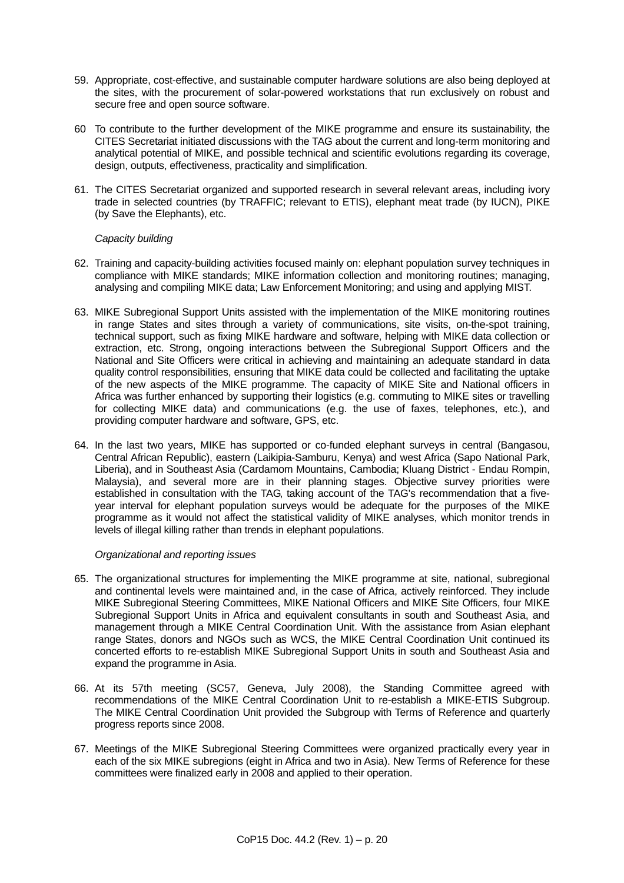- 59. Appropriate, cost-effective, and sustainable computer hardware solutions are also being deployed at the sites, with the procurement of solar-powered workstations that run exclusively on robust and secure free and open source software.
- 60 To contribute to the further development of the MIKE programme and ensure its sustainability, the CITES Secretariat initiated discussions with the TAG about the current and long-term monitoring and analytical potential of MIKE, and possible technical and scientific evolutions regarding its coverage, design, outputs, effectiveness, practicality and simplification.
- 61. The CITES Secretariat organized and supported research in several relevant areas, including ivory trade in selected countries (by TRAFFIC; relevant to ETIS), elephant meat trade (by IUCN), PIKE (by Save the Elephants), etc.

# *Capacity building*

- 62. Training and capacity-building activities focused mainly on: elephant population survey techniques in compliance with MIKE standards; MIKE information collection and monitoring routines; managing, analysing and compiling MIKE data; Law Enforcement Monitoring; and using and applying MIST.
- 63. MIKE Subregional Support Units assisted with the implementation of the MIKE monitoring routines in range States and sites through a variety of communications, site visits, on-the-spot training, technical support, such as fixing MIKE hardware and software, helping with MIKE data collection or extraction, etc. Strong, ongoing interactions between the Subregional Support Officers and the National and Site Officers were critical in achieving and maintaining an adequate standard in data quality control responsibilities, ensuring that MIKE data could be collected and facilitating the uptake of the new aspects of the MIKE programme. The capacity of MIKE Site and National officers in Africa was further enhanced by supporting their logistics (e.g. commuting to MIKE sites or travelling for collecting MIKE data) and communications (e.g. the use of faxes, telephones, etc.), and providing computer hardware and software, GPS, etc.
- 64. In the last two years, MIKE has supported or co-funded elephant surveys in central (Bangasou, Central African Republic), eastern (Laikipia-Samburu, Kenya) and west Africa (Sapo National Park, Liberia), and in Southeast Asia (Cardamom Mountains, Cambodia; Kluang District - Endau Rompin, Malaysia), and several more are in their planning stages. Objective survey priorities were established in consultation with the TAG, taking account of the TAG's recommendation that a fiveyear interval for elephant population surveys would be adequate for the purposes of the MIKE programme as it would not affect the statistical validity of MIKE analyses, which monitor trends in levels of illegal killing rather than trends in elephant populations.

# *Organizational and reporting issues*

- 65. The organizational structures for implementing the MIKE programme at site, national, subregional and continental levels were maintained and, in the case of Africa, actively reinforced. They include MIKE Subregional Steering Committees, MIKE National Officers and MIKE Site Officers, four MIKE Subregional Support Units in Africa and equivalent consultants in south and Southeast Asia, and management through a MIKE Central Coordination Unit. With the assistance from Asian elephant range States, donors and NGOs such as WCS, the MIKE Central Coordination Unit continued its concerted efforts to re-establish MIKE Subregional Support Units in south and Southeast Asia and expand the programme in Asia.
- 66. At its 57th meeting (SC57, Geneva, July 2008), the Standing Committee agreed with recommendations of the MIKE Central Coordination Unit to re-establish a MIKE-ETIS Subgroup. The MIKE Central Coordination Unit provided the Subgroup with Terms of Reference and quarterly progress reports since 2008.
- 67. Meetings of the MIKE Subregional Steering Committees were organized practically every year in each of the six MIKE subregions (eight in Africa and two in Asia). New Terms of Reference for these committees were finalized early in 2008 and applied to their operation.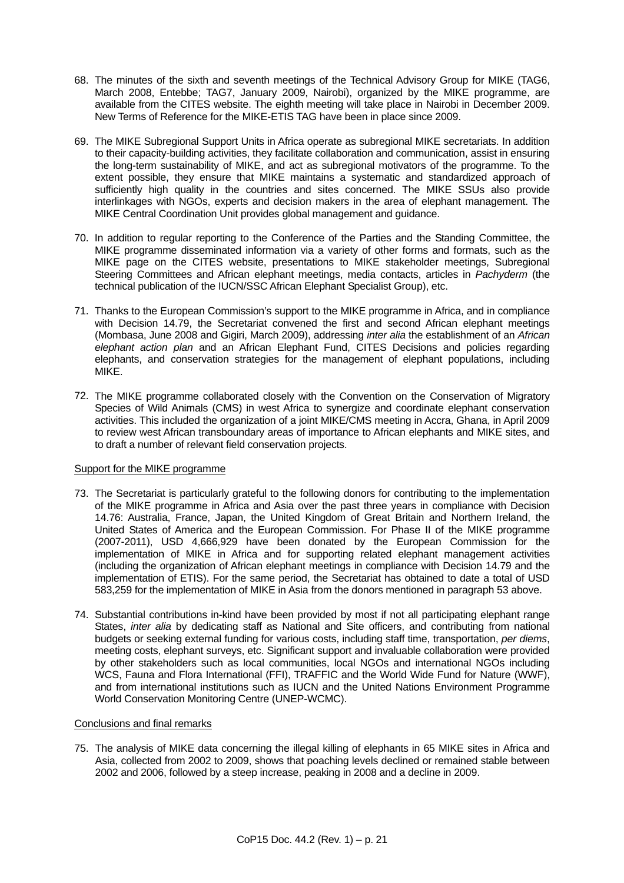- 68. The minutes of the sixth and seventh meetings of the Technical Advisory Group for MIKE (TAG6, March 2008, Entebbe; TAG7, January 2009, Nairobi), organized by the MIKE programme, are available from the CITES website. The eighth meeting will take place in Nairobi in December 2009. New Terms of Reference for the MIKE-ETIS TAG have been in place since 2009.
- 69. The MIKE Subregional Support Units in Africa operate as subregional MIKE secretariats. In addition to their capacity-building activities, they facilitate collaboration and communication, assist in ensuring the long-term sustainability of MIKE, and act as subregional motivators of the programme. To the extent possible, they ensure that MIKE maintains a systematic and standardized approach of sufficiently high quality in the countries and sites concerned. The MIKE SSUs also provide interlinkages with NGOs, experts and decision makers in the area of elephant management. The MIKE Central Coordination Unit provides global management and guidance.
- 70. In addition to regular reporting to the Conference of the Parties and the Standing Committee, the MIKE programme disseminated information via a variety of other forms and formats, such as the MIKE page on the CITES website, presentations to MIKE stakeholder meetings, Subregional Steering Committees and African elephant meetings, media contacts, articles in *Pachyderm* (the technical publication of the IUCN/SSC African Elephant Specialist Group), etc.
- 71. Thanks to the European Commission's support to the MIKE programme in Africa, and in compliance with Decision 14.79, the Secretariat convened the first and second African elephant meetings (Mombasa, June 2008 and Gigiri, March 2009), addressing *inter alia* the establishment of an *African elephant action plan* and an African Elephant Fund, CITES Decisions and policies regarding elephants, and conservation strategies for the management of elephant populations, including MIKE.
- 72. The MIKE programme collaborated closely with the Convention on the Conservation of Migratory Species of Wild Animals (CMS) in west Africa to synergize and coordinate elephant conservation activities. This included the organization of a joint MIKE/CMS meeting in Accra, Ghana, in April 2009 to review west African transboundary areas of importance to African elephants and MIKE sites, and to draft a number of relevant field conservation projects.

#### Support for the MIKE programme

- 73. The Secretariat is particularly grateful to the following donors for contributing to the implementation of the MIKE programme in Africa and Asia over the past three years in compliance with Decision 14.76: Australia, France, Japan, the United Kingdom of Great Britain and Northern Ireland, the United States of America and the European Commission. For Phase II of the MIKE programme (2007-2011), USD 4,666,929 have been donated by the European Commission for the implementation of MIKE in Africa and for supporting related elephant management activities (including the organization of African elephant meetings in compliance with Decision 14.79 and the implementation of ETIS). For the same period, the Secretariat has obtained to date a total of USD 583,259 for the implementation of MIKE in Asia from the donors mentioned in paragraph 53 above.
- 74. Substantial contributions in-kind have been provided by most if not all participating elephant range States, *inter alia* by dedicating staff as National and Site officers, and contributing from national budgets or seeking external funding for various costs, including staff time, transportation, *per diems*, meeting costs, elephant surveys, etc. Significant support and invaluable collaboration were provided by other stakeholders such as local communities, local NGOs and international NGOs including WCS, Fauna and Flora International (FFI), TRAFFIC and the World Wide Fund for Nature (WWF), and from international institutions such as IUCN and the United Nations Environment Programme World Conservation Monitoring Centre (UNEP-WCMC).

#### Conclusions and final remarks

75. The analysis of MIKE data concerning the illegal killing of elephants in 65 MIKE sites in Africa and Asia, collected from 2002 to 2009, shows that poaching levels declined or remained stable between 2002 and 2006, followed by a steep increase, peaking in 2008 and a decline in 2009.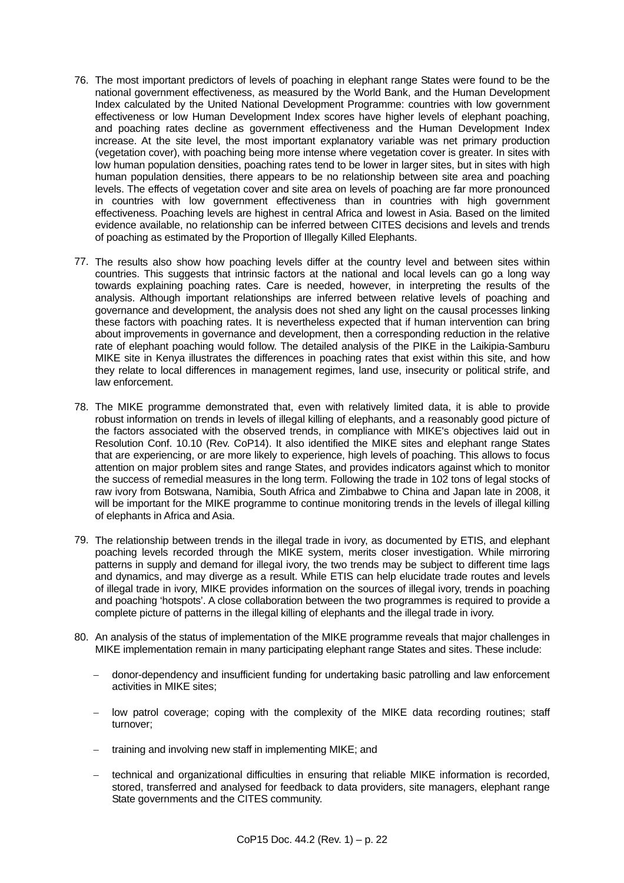- 76. The most important predictors of levels of poaching in elephant range States were found to be the national government effectiveness, as measured by the World Bank, and the Human Development Index calculated by the United National Development Programme: countries with low government effectiveness or low Human Development Index scores have higher levels of elephant poaching, and poaching rates decline as government effectiveness and the Human Development Index increase. At the site level, the most important explanatory variable was net primary production (vegetation cover), with poaching being more intense where vegetation cover is greater. In sites with low human population densities, poaching rates tend to be lower in larger sites, but in sites with high human population densities, there appears to be no relationship between site area and poaching levels. The effects of vegetation cover and site area on levels of poaching are far more pronounced in countries with low government effectiveness than in countries with high government effectiveness. Poaching levels are highest in central Africa and lowest in Asia. Based on the limited evidence available, no relationship can be inferred between CITES decisions and levels and trends of poaching as estimated by the Proportion of Illegally Killed Elephants.
- 77. The results also show how poaching levels differ at the country level and between sites within countries. This suggests that intrinsic factors at the national and local levels can go a long way towards explaining poaching rates. Care is needed, however, in interpreting the results of the analysis. Although important relationships are inferred between relative levels of poaching and governance and development, the analysis does not shed any light on the causal processes linking these factors with poaching rates. It is nevertheless expected that if human intervention can bring about improvements in governance and development, then a corresponding reduction in the relative rate of elephant poaching would follow. The detailed analysis of the PIKE in the Laikipia-Samburu MIKE site in Kenya illustrates the differences in poaching rates that exist within this site, and how they relate to local differences in management regimes, land use, insecurity or political strife, and law enforcement.
- 78. The MIKE programme demonstrated that, even with relatively limited data, it is able to provide robust information on trends in levels of illegal killing of elephants, and a reasonably good picture of the factors associated with the observed trends, in compliance with MIKE's objectives laid out in Resolution Conf. 10.10 (Rev. CoP14). It also identified the MIKE sites and elephant range States that are experiencing, or are more likely to experience, high levels of poaching. This allows to focus attention on major problem sites and range States, and provides indicators against which to monitor the success of remedial measures in the long term. Following the trade in 102 tons of legal stocks of raw ivory from Botswana, Namibia, South Africa and Zimbabwe to China and Japan late in 2008, it will be important for the MIKE programme to continue monitoring trends in the levels of illegal killing of elephants in Africa and Asia.
- <span id="page-21-0"></span>79. The relationship between trends in the illegal trade in ivory, as documented by ETIS, and elephant poaching levels recorded through the MIKE system, merits closer investigation. While mirroring patterns in supply and demand for illegal ivory, the two trends may be subject to different time lags and dynamics, and may diverge as a result. While ETIS can help elucidate trade routes and levels of illegal trade in ivory, MIKE provides information on the sources of illegal ivory, trends in poaching and poaching 'hotspots'. A close collaboration between the two programmes is required to provide a complete picture of patterns in the illegal killing of elephants and the illegal trade in ivory.
- 80. An analysis of the status of implementation of the MIKE programme reveals that major challenges in MIKE implementation remain in many participating elephant range States and sites. These include:
	- donor-dependency and insufficient funding for undertaking basic patrolling and law enforcement activities in MIKE sites;
	- $-$  low patrol coverage; coping with the complexity of the MIKE data recording routines; staff turnover;
	- training and involving new staff in implementing MIKE; and
	- technical and organizational difficulties in ensuring that reliable MIKE information is recorded, stored, transferred and analysed for feedback to data providers, site managers, elephant range State governments and the CITES community.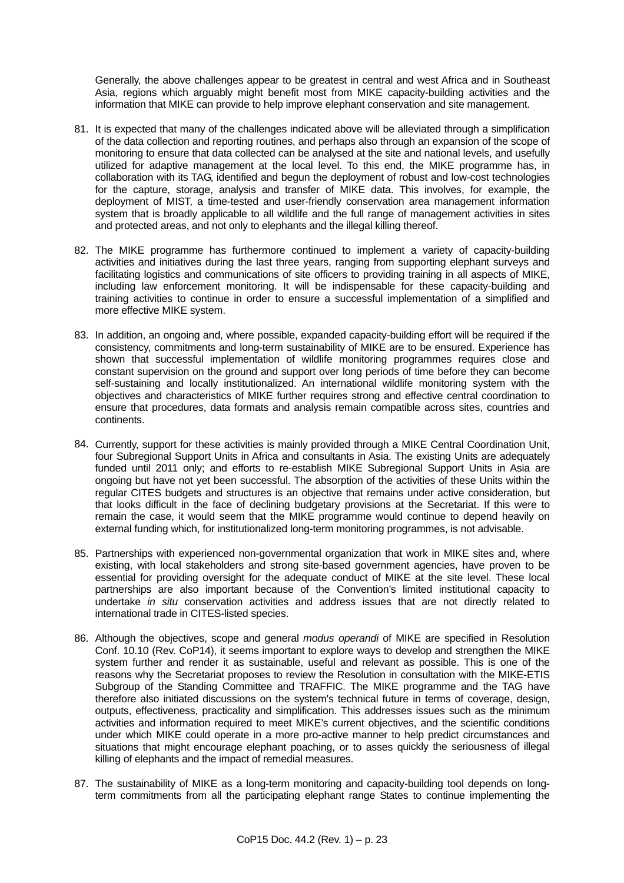Generally, the above challenges appear to be greatest in central and west Africa and in Southeast Asia, regions which arguably might benefit most from MIKE capacity-building activities and the information that MIKE can provide to help improve elephant conservation and site management.

- 81. It is expected that many of the challenges indicated above will be alleviated through a simplification of the data collection and reporting routines, and perhaps also through an expansion of the scope of monitoring to ensure that data collected can be analysed at the site and national levels, and usefully utilized for adaptive management at the local level. To this end, the MIKE programme has, in collaboration with its TAG, identified and begun the deployment of robust and low-cost technologies for the capture, storage, analysis and transfer of MIKE data. This involves, for example, the deployment of MIST, a time-tested and user-friendly conservation area management information system that is broadly applicable to all wildlife and the full range of management activities in sites and protected areas, and not only to elephants and the illegal killing thereof.
- 82. The MIKE programme has furthermore continued to implement a variety of capacity-building activities and initiatives during the last three years, ranging from supporting elephant surveys and facilitating logistics and communications of site officers to providing training in all aspects of MIKE, including law enforcement monitoring. It will be indispensable for these capacity-building and training activities to continue in order to ensure a successful implementation of a simplified and more effective MIKE system.
- 83. In addition, an ongoing and, where possible, expanded capacity-building effort will be required if the consistency, commitments and long-term sustainability of MIKE are to be ensured. Experience has shown that successful implementation of wildlife monitoring programmes requires close and constant supervision on the ground and support over long periods of time before they can become self-sustaining and locally institutionalized. An international wildlife monitoring system with the objectives and characteristics of MIKE further requires strong and effective central coordination to ensure that procedures, data formats and analysis remain compatible across sites, countries and continents.
- 84. Currently, support for these activities is mainly provided through a MIKE Central Coordination Unit, four Subregional Support Units in Africa and consultants in Asia. The existing Units are adequately funded until 2011 only; and efforts to re-establish MIKE Subregional Support Units in Asia are ongoing but have not yet been successful. The absorption of the activities of these Units within the regular CITES budgets and structures is an objective that remains under active consideration, but that looks difficult in the face of declining budgetary provisions at the Secretariat. If this were to remain the case, it would seem that the MIKE programme would continue to depend heavily on external funding which, for institutionalized long-term monitoring programmes, is not advisable.
- 85. Partnerships with experienced non-governmental organization that work in MIKE sites and, where existing, with local stakeholders and strong site-based government agencies, have proven to be essential for providing oversight for the adequate conduct of MIKE at the site level. These local partnerships are also important because of the Convention's limited institutional capacity to undertake *in situ* conservation activities and address issues that are not directly related to international trade in CITES-listed species.
- 86. Although the objectives, scope and general *modus operandi* of MIKE are specified in Resolution Conf. 10.10 (Rev. CoP14), it seems important to explore ways to develop and strengthen the MIKE system further and render it as sustainable, useful and relevant as possible. This is one of the reasons why the Secretariat proposes to review the Resolution in consultation with the MIKE-ETIS Subgroup of the Standing Committee and TRAFFIC. The MIKE programme and the TAG have therefore also initiated discussions on the system's technical future in terms of coverage, design, outputs, effectiveness, practicality and simplification. This addresses issues such as the minimum activities and information required to meet MIKE's current objectives, and the scientific conditions under which MIKE could operate in a more pro-active manner to help predict circumstances and situations that might encourage elephant poaching, or to asses quickly the seriousness of illegal killing of elephants and the impact of remedial measures.
- 87. The sustainability of MIKE as a long-term monitoring and capacity-building tool depends on longterm commitments from all the participating elephant range States to continue implementing the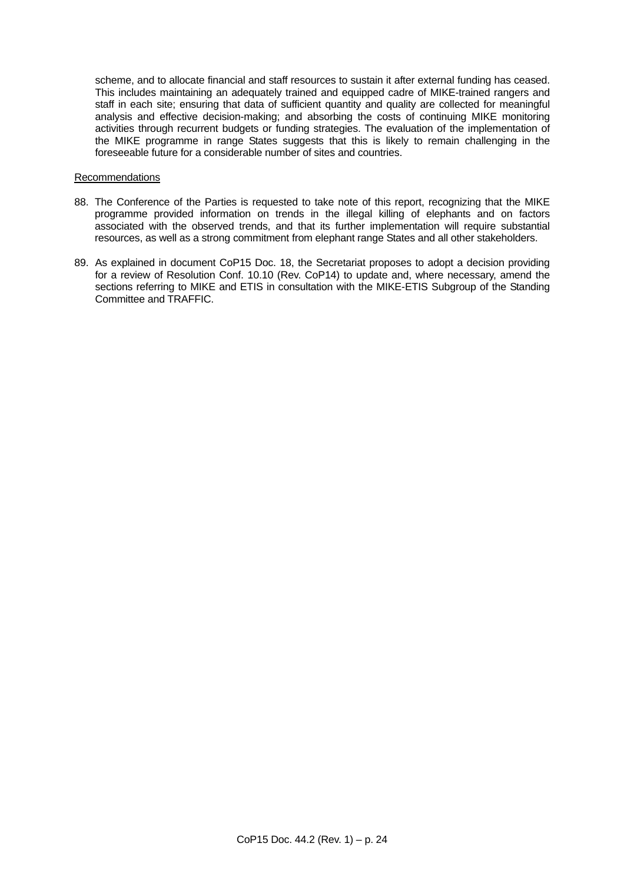scheme, and to allocate financial and staff resources to sustain it after external funding has ceased. This includes maintaining an adequately trained and equipped cadre of MIKE-trained rangers and staff in each site; ensuring that data of sufficient quantity and quality are collected for meaningful analysis and effective decision-making; and absorbing the costs of continuing MIKE monitoring activities through recurrent budgets or funding strategies. The evaluation of the implementation of the MIKE programme in range States suggests that this is likely to remain challenging in the foreseeable future for a considerable number of sites and countries.

### Recommendations

- 88. The Conference of the Parties is requested to take note of this report, recognizing that the MIKE programme provided information on trends in the illegal killing of elephants and on factors associated with the observed trends, and that its further implementation will require substantial resources, as well as a strong commitment from elephant range States and all other stakeholders.
- 89. As explained in document CoP15 Doc. 18, the Secretariat proposes to adopt a decision providing for a review of Resolution Conf. 10.10 (Rev. CoP14) to update and, where necessary, amend the sections referring to MIKE and ETIS in consultation with the MIKE-ETIS Subgroup of the Standing Committee and TRAFFIC.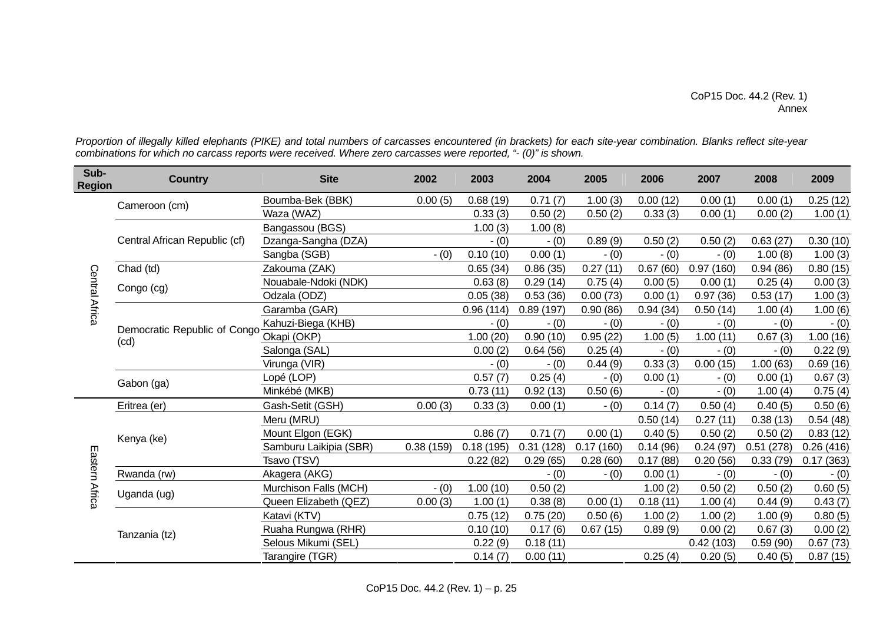*Proportion of illegally killed elephants (PIKE) and total numbers of carcasses encountered (in brackets) for each site-year combination. Blanks reflect site-year combinations for which no carcass reports were received. Where zero carcasses were reported, "- (0)" is shown.* 

| Sub-<br><b>Region</b> | <b>Country</b>                       | <b>Site</b>            | 2002      | 2003      | 2004      | 2005      | 2006     | 2007      | 2008      | 2009      |
|-----------------------|--------------------------------------|------------------------|-----------|-----------|-----------|-----------|----------|-----------|-----------|-----------|
|                       | Cameroon (cm)                        | Boumba-Bek (BBK)       | 0.00(5)   | 0.68(19)  | 0.71(7)   | 1.00(3)   | 0.00(12) | 0.00(1)   | 0.00(1)   | 0.25(12)  |
|                       |                                      | Waza (WAZ)             |           | 0.33(3)   | 0.50(2)   | 0.50(2)   | 0.33(3)  | 0.00(1)   | 0.00(2)   | 1.00(1)   |
|                       |                                      | Bangassou (BGS)        |           | 1.00(3)   | 1.00(8)   |           |          |           |           |           |
|                       | Central African Republic (cf)        | Dzanga-Sangha (DZA)    |           | $-(0)$    | $- (0)$   | 0.89(9)   | 0.50(2)  | 0.50(2)   | 0.63(27)  | 0.30(10)  |
|                       |                                      | Sangba (SGB)           | $- (0)$   | 0.10(10)  | 0.00(1)   | $- (0)$   | $- (0)$  | $- (0)$   | 1.00(8)   | 1.00(3)   |
|                       | Chad (td)                            | Zakouma (ZAK)          |           | 0.65(34)  | 0.86(35)  | 0.27(11)  | 0.67(60) | 0.97(160) | 0.94(86)  | 0.80(15)  |
|                       | Congo (cg)                           | Nouabale-Ndoki (NDK)   |           | 0.63(8)   | 0.29(14)  | 0.75(4)   | 0.00(5)  | 0.00(1)   | 0.25(4)   | 0.00(3)   |
| Central Africa        |                                      | Odzala (ODZ)           |           | 0.05(38)  | 0.53(36)  | 0.00(73)  | 0.00(1)  | 0.97(36)  | 0.53(17)  | 1.00(3)   |
|                       | Democratic Republic of Congo<br>(cd) | Garamba (GAR)          |           | 0.96(114) | 0.89(197) | 0.90(86)  | 0.94(34) | 0.50(14)  | 1.00(4)   | 1.00(6)   |
|                       |                                      | Kahuzi-Biega (KHB)     |           | $- (0)$   | $- (0)$   | $- (0)$   | $- (0)$  | $- (0)$   | $- (0)$   | $- (0)$   |
|                       |                                      | Okapi (OKP)            |           | 1.00(20)  | 0.90(10)  | 0.95(22)  | 1.00(5)  | 1.00(11)  | 0.67(3)   | 1.00(16)  |
|                       |                                      | Salonga (SAL)          |           | 0.00(2)   | 0.64(56)  | 0.25(4)   | $- (0)$  | $- (0)$   | $- (0)$   | 0.22(9)   |
|                       |                                      | Virunga (VIR)          |           | $- (0)$   | $- (0)$   | 0.44(9)   | 0.33(3)  | 0.00(15)  | 1.00(63)  | 0.69(16)  |
|                       | Gabon (ga)                           | Lopé (LOP)             |           | 0.57(7)   | 0.25(4)   | $- (0)$   | 0.00(1)  | $- (0)$   | 0.00(1)   | 0.67(3)   |
|                       |                                      | Minkébé (MKB)          |           | 0.73(11)  | 0.92(13)  | 0.50(6)   | $- (0)$  | $- (0)$   | 1.00(4)   | 0.75(4)   |
|                       | Eritrea (er)                         | Gash-Setit (GSH)       | 0.00(3)   | 0.33(3)   | 0.00(1)   | $- (0)$   | 0.14(7)  | 0.50(4)   | 0.40(5)   | 0.50(6)   |
|                       | Kenya (ke)                           | Meru (MRU)             |           |           |           |           | 0.50(14) | 0.27(11)  | 0.38(13)  | 0.54(48)  |
|                       |                                      | Mount Elgon (EGK)      |           | 0.86(7)   | 0.71(7)   | 0.00(1)   | 0.40(5)  | 0.50(2)   | 0.50(2)   | 0.83(12)  |
|                       |                                      | Samburu Laikipia (SBR) | 0.38(159) | 0.18(195) | 0.31(128) | 0.17(160) | 0.14(96) | 0.24(97)  | 0.51(278) | 0.26(416) |
| Eastern               |                                      | Tsavo (TSV)            |           | 0.22(82)  | 0.29(65)  | 0.28(60)  | 0.17(88) | 0.20(56)  | 0.33(79)  | 0.17(363) |
| <b>Africa</b>         | Rwanda (rw)                          | Akagera (AKG)          |           |           | $- (0)$   | $-(0)$    | 0.00(1)  | $- (0)$   | $- (0)$   | $- (0)$   |
|                       | Uganda (ug)                          | Murchison Falls (MCH)  | $- (0)$   | 1.00(10)  | 0.50(2)   |           | 1.00(2)  | 0.50(2)   | 0.50(2)   | 0.60(5)   |
|                       |                                      | Queen Elizabeth (QEZ)  | 0.00(3)   | 1.00(1)   | 0.38(8)   | 0.00(1)   | 0.18(11) | 1.00(4)   | 0.44(9)   | 0.43(7)   |
|                       | Tanzania (tz)                        | Katavi (KTV)           |           | 0.75(12)  | 0.75(20)  | 0.50(6)   | 1.00(2)  | 1.00(2)   | 1.00(9)   | 0.80(5)   |
|                       |                                      | Ruaha Rungwa (RHR)     |           | 0.10(10)  | 0.17(6)   | 0.67(15)  | 0.89(9)  | 0.00(2)   | 0.67(3)   | 0.00(2)   |
|                       |                                      | Selous Mikumi (SEL)    |           | 0.22(9)   | 0.18(11)  |           |          | 0.42(103) | 0.59(90)  | 0.67(73)  |
|                       |                                      | Tarangire (TGR)        |           | 0.14(7)   | 0.00(11)  |           | 0.25(4)  | 0.20(5)   | 0.40(5)   | 0.87(15)  |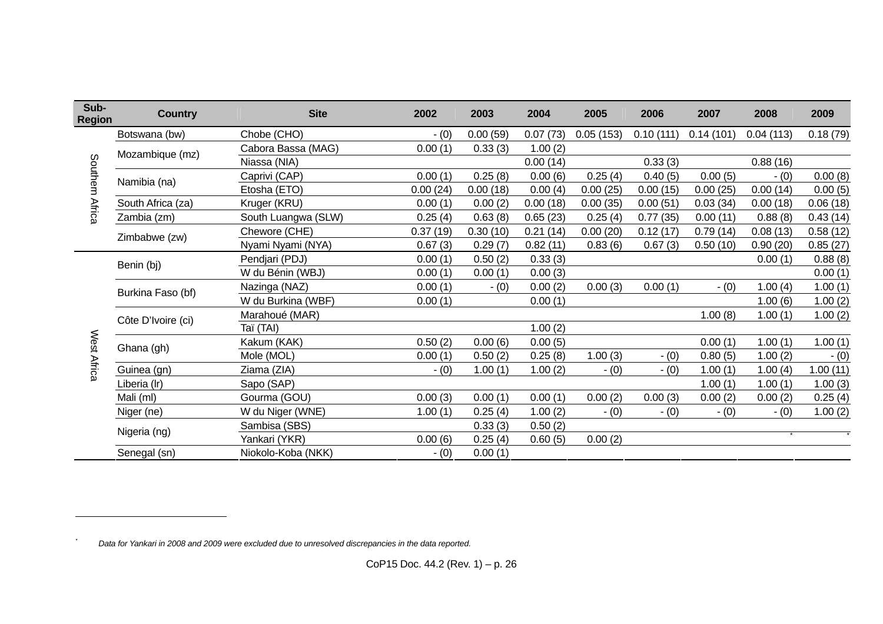| Sub-<br><b>Region</b> | <b>Country</b>     | <b>Site</b>         | 2002     | 2003     | 2004     | 2005      | 2006      | 2007      | 2008      | 2009     |
|-----------------------|--------------------|---------------------|----------|----------|----------|-----------|-----------|-----------|-----------|----------|
| Southern Africa       | Botswana (bw)      | Chobe (CHO)         | $- (0)$  | 0.00(59) | 0.07(73) | 0.05(153) | 0.10(111) | 0.14(101) | 0.04(113) | 0.18(79) |
|                       | Mozambique (mz)    | Cabora Bassa (MAG)  | 0.00(1)  | 0.33(3)  | 1.00(2)  |           |           |           |           |          |
|                       |                    | Niassa (NIA)        |          |          | 0.00(14) |           | 0.33(3)   |           | 0.88(16)  |          |
|                       | Namibia (na)       | Caprivi (CAP)       | 0.00(1)  | 0.25(8)  | 0.00(6)  | 0.25(4)   | 0.40(5)   | 0.00(5)   | $- (0)$   | 0.00(8)  |
|                       |                    | Etosha (ETO)        | 0.00(24) | 0.00(18) | 0.00(4)  | 0.00(25)  | 0.00(15)  | 0.00(25)  | 0.00(14)  | 0.00(5)  |
|                       | South Africa (za)  | Kruger (KRU)        | 0.00(1)  | 0.00(2)  | 0.00(18) | 0.00(35)  | 0.00(51)  | 0.03(34)  | 0.00(18)  | 0.06(18) |
|                       | Zambia (zm)        | South Luangwa (SLW) | 0.25(4)  | 0.63(8)  | 0.65(23) | 0.25(4)   | 0.77(35)  | 0.00(11)  | 0.88(8)   | 0.43(14) |
|                       | Zimbabwe (zw)      | Chewore (CHE)       | 0.37(19) | 0.30(10) | 0.21(14) | 0.00(20)  | 0.12(17)  | 0.79(14)  | 0.08(13)  | 0.58(12) |
|                       |                    | Nyami Nyami (NYA)   | 0.67(3)  | 0.29(7)  | 0.82(11) | 0.83(6)   | 0.67(3)   | 0.50(10)  | 0.90(20)  | 0.85(27) |
|                       | Benin (bj)         | Pendjari (PDJ)      | 0.00(1)  | 0.50(2)  | 0.33(3)  |           |           |           | 0.00(1)   | 0.88(8)  |
|                       |                    | W du Bénin (WBJ)    | 0.00(1)  | 0.00(1)  | 0.00(3)  |           |           |           |           | 0.00(1)  |
|                       | Burkina Faso (bf)  | Nazinga (NAZ)       | 0.00(1)  | $- (0)$  | 0.00(2)  | 0.00(3)   | 0.00(1)   | $- (0)$   | 1.00(4)   | 1.00(1)  |
|                       |                    | W du Burkina (WBF)  | 0.00(1)  |          | 0.00(1)  |           |           |           | 1.00(6)   | 1.00(2)  |
|                       | Côte D'Ivoire (ci) | Marahoué (MAR)      |          |          |          |           |           | 1.00(8)   | 1.00(1)   | 1.00(2)  |
|                       |                    | Taï (TAI)           |          |          | 1.00(2)  |           |           |           |           |          |
|                       | Ghana (gh)         | Kakum (KAK)         | 0.50(2)  | 0.00(6)  | 0.00(5)  |           |           | 0.00(1)   | 1.00(1)   | 1.00(1)  |
|                       |                    | Mole (MOL)          | 0.00(1)  | 0.50(2)  | 0.25(8)  | 1.00(3)   | $- (0)$   | 0.80(5)   | 1.00(2)   | $- (0)$  |
| West Africa           | Guinea (gn)        | Ziama (ZIA)         | $-(0)$   | 1.00(1)  | 1.00(2)  | $- (0)$   | $- (0)$   | 1.00(1)   | 1.00(4)   | 1.00(11) |
|                       | Liberia (Ir)       | Sapo (SAP)          |          |          |          |           |           | 1.00(1)   | 1.00(1)   | 1.00(3)  |
|                       | Mali (ml)          | Gourma (GOU)        | 0.00(3)  | 0.00(1)  | 0.00(1)  | 0.00(2)   | 0.00(3)   | 0.00(2)   | 0.00(2)   | 0.25(4)  |
|                       | Niger (ne)         | W du Niger (WNE)    | 1.00(1)  | 0.25(4)  | 1.00(2)  | $- (0)$   | $- (0)$   | $- (0)$   | $- (0)$   | 1.00(2)  |
|                       | Nigeria (ng)       | Sambisa (SBS)       |          | 0.33(3)  | 0.50(2)  |           |           |           |           |          |
|                       |                    | Yankari (YKR)       | 0.00(6)  | 0.25(4)  | 0.60(5)  | 0.00(2)   |           |           |           |          |
|                       | Senegal (sn)       | Niokolo-Koba (NKK)  | $- (0)$  | 0.00(1)  |          |           |           |           |           |          |

*\**

*Data for Yankari in 2008 and 2009 were excluded due to unresolved discrepancies in the data reported.*